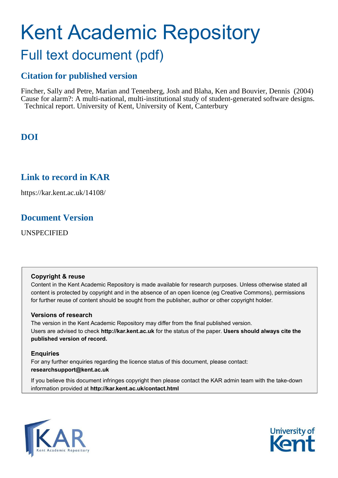# Kent Academic Repository Full text document (pdf)

# **Citation for published version**

Fincher, Sally and Petre, Marian and Tenenberg, Josh and Blaha, Ken and Bouvier, Dennis (2004) Cause for alarm?: A multi-national, multi-institutional study of student-generated software designs. Technical report. University of Kent, University of Kent, Canterbury

# **DOI**

## **Link to record in KAR**

https://kar.kent.ac.uk/14108/

## **Document Version**

UNSPECIFIED

#### **Copyright & reuse**

Content in the Kent Academic Repository is made available for research purposes. Unless otherwise stated all content is protected by copyright and in the absence of an open licence (eg Creative Commons), permissions for further reuse of content should be sought from the publisher, author or other copyright holder.

#### **Versions of research**

The version in the Kent Academic Repository may differ from the final published version. Users are advised to check **http://kar.kent.ac.uk** for the status of the paper. **Users should always cite the published version of record.**

#### **Enquiries**

For any further enquiries regarding the licence status of this document, please contact: **researchsupport@kent.ac.uk**

If you believe this document infringes copyright then please contact the KAR admin team with the take-down information provided at **http://kar.kent.ac.uk/contact.html**



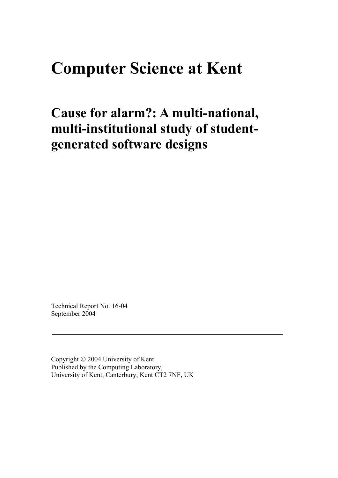# **Computer Science at Kent**

# **Cause for alarm?: A multi-national, multi-institutional study of studentgenerated software designs**

Technical Report No. 16-04 September 2004

Copyright  $\odot$  2004 University of Kent Published by the Computing Laboratory, University of Kent, Canterbury, Kent CT2 7NF, UK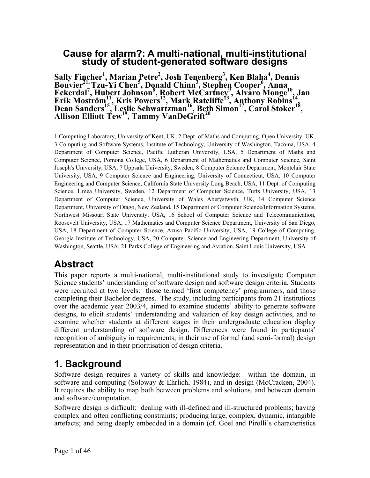#### **Cause for alarm?: A multi-national, multi-institutional study of student-generated software designs**

**Sally Fincher<sup>1</sup> , Marian Petre<sup>2</sup> , Josh Tenenberg<sup>3</sup> , Ken Blaha<sup>4</sup> , Dennis Bouvier21, Tzu-Yi Chen<sup>5</sup> , Donald Chinn<sup>3</sup> , Stephen Cooper<sup>6</sup> , Anna Eckerdal<sup>7</sup> , Hubert Johnson<sup>8</sup> , Robert McCartney<sup>9</sup> , Alvaro Monge<sup>10</sup>, Jan**  Erik Moström<sup>11</sup>, Kris Powers<sup>12</sup>, Mark Ratcliffe<sup>13</sup>, Anthony Robins<sup>14</sup> **Dean Sanders<sup>15</sup>, Leslie Schwartzman<sup>16</sup>, Beth Simon<sup>17</sup>, Carol Stoker<sup>18</sup> , Allison Elliott Tew<sup>19</sup>, Tammy VanDeGrift<sup>20</sup>**

1 Computing Laboratory, University of Kent, UK, 2 Dept. of Maths and Computing, Open University, UK, 3 Computing and Software Systems, Institute of Technology, University of Washington, Tacoma, USA, 4 Department of Computer Science, Pacific Lutheran University, USA, 5 Department of Maths and Computer Science, Pomona College, USA, 6 Department of Mathematics and Computer Science, Saint Joseph's University, USA, 7 Uppsala University, Sweden, 8 Computer Science Department, Montclair State University, USA, 9 Computer Science and Engineering, University of Connecticut, USA, 10 Computer Engineering and Computer Science, California State University Long Beach, USA, 11 Dept. of Computing Science, Umeå University, Sweden, 12 Department of Computer Science, Tufts University, USA, 13 Department of Computer Science, University of Wales Aberystwyth, UK, 14 Computer Science Department, University of Otago, New Zealand, 15 Department of Computer Science/Information Systems, Northwest Missouri State University, USA, 16 School of Computer Science and Telecommunication, Roosevelt University, USA, 17 Mathematics and Computer Science Department, University of San Diego, USA, 18 Department of Computer Science, Azusa Pacific University, USA, 19 College of Computing, Georgia Institute of Technology, USA, 20 Computer Science and Engineering Department, University of Washington, Seattle, USA, 21 Parks College of Engineering and Aviation, Saint Louis University, USA

# **Abstract**

This paper reports a multi-national, multi-institutional study to investigate Computer Science students' understanding of software design and software design criteria. Students were recruited at two levels: those termed 'first competency' programmers, and those completing their Bachelor degrees. The study, including participants from 21 institutions over the academic year 2003/4, aimed to examine students' ability to generate software designs, to elicit students' understanding and valuation of key design activities, and to examine whether students at different stages in their undergraduate education display different understanding of software design. Differences were found in particpants' recognition of ambiguity in requirements; in their use of formal (and semi-formal) design representation and in their prioritisation of design criteria.

# **1. Background**

Software design requires a variety of skills and knowledge: within the domain, in software and computing (Soloway & Ehrlich, 1984), and in design (McCracken, 2004). It requires the ability to map both between problems and solutions, and between domain and software/computation.

Software design is difficult: dealing with ill-defined and ill-structured problems; having complex and often conflicting constraints; producing large, complex, dynamic, intangible artefacts; and being deeply embedded in a domain (cf. Goel and Pirolli's characteristics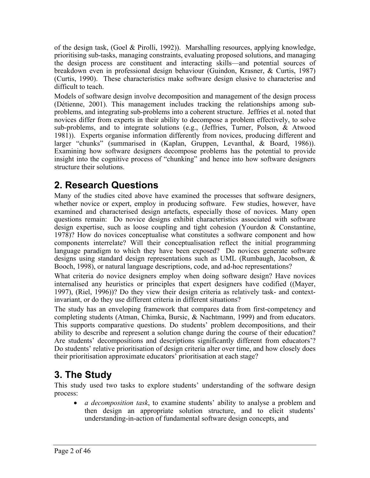of the design task, (Goel & Pirolli, 1992)). Marshalling resources, applying knowledge, prioritising sub-tasks, managing constraints, evaluating proposed solutions, and managing the design process are constituent and interacting skills—and potential sources of breakdown even in professional design behaviour (Guindon, Krasner, & Curtis, 1987) (Curtis, 1990). These characteristics make software design elusive to characterise and difficult to teach.

Models of software design involve decomposition and management of the design process (DÈtienne, 2001). This management includes tracking the relationships among subproblems, and integrating sub-problems into a coherent structure. Jeffries et al. noted that novices differ from experts in their ability to decompose a problem effectively, to solve sub-problems, and to integrate solutions (e.g., (Jeffries, Turner, Polson, & Atwood 1981)). Experts organise information differently from novices, producing different and larger "chunks" (summarised in (Kaplan, Gruppen, Levanthal,  $\&$  Board, 1986)). Examining how software designers decompose problems has the potential to provide insight into the cognitive process of "chunking" and hence into how software designers structure their solutions.

# **2. Research Questions**

Many of the studies cited above have examined the processes that software designers, whether novice or expert, employ in producing software. Few studies, however, have examined and characterised design artefacts, especially those of novices. Many open questions remain: Do novice designs exhibit characteristics associated with software design expertise, such as loose coupling and tight cohesion (Yourdon & Constantine, 1978)? How do novices conceptualise what constitutes a software component and how components interrelate? Will their conceptualisation reflect the initial programming language paradigm to which they have been exposed? Do novices generate software designs using standard design representations such as UML (Rumbaugh, Jacobson, & Booch, 1998), or natural language descriptions, code, and ad-hoc representations?

What criteria do novice designers employ when doing software design? Have novices internalised any heuristics or principles that expert designers have codified ((Mayer, 1997), (Riel, 1996))? Do they view their design criteria as relatively task- and contextinvariant, or do they use different criteria in different situations?

The study has an enveloping framework that compares data from first-competency and completing students (Atman, Chimka, Bursic, & Nachtmann, 1999) and from educators. This supports comparative questions. Do students' problem decompositions, and their ability to describe and represent a solution change during the course of their education? Are students' decompositions and descriptions significantly different from educators'? Do students' relative prioritisation of design criteria alter over time, and how closely does their prioritisation approximate educators' prioritisation at each stage?

# **3. The Study**

This study used two tasks to explore students' understanding of the software design process:

• *a decomposition task*, to examine students' ability to analyse a problem and then design an appropriate solution structure, and to elicit students' understanding-in-action of fundamental software design concepts, and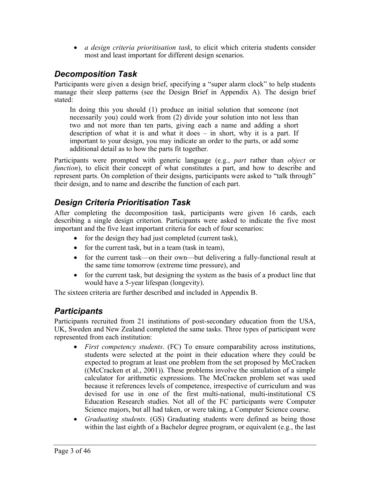• *a design criteria prioritisation task*, to elicit which criteria students consider most and least important for different design scenarios.

## *Decomposition Task*

Participants were given a design brief, specifying a "super alarm clock" to help students manage their sleep patterns (see the Design Brief in Appendix A). The design brief stated:

In doing this you should (1) produce an initial solution that someone (not necessarily you) could work from (2) divide your solution into not less than two and not more than ten parts, giving each a name and adding a short description of what it is and what it does  $-$  in short, why it is a part. If important to your design, you may indicate an order to the parts, or add some additional detail as to how the parts fit together.

Participants were prompted with generic language (e.g., *part* rather than *object* or *function*), to elicit their concept of what constitutes a part, and how to describe and represent parts. On completion of their designs, participants were asked to "talk through" their design, and to name and describe the function of each part.

#### *Design Criteria Prioritisation Task*

After completing the decomposition task, participants were given 16 cards, each describing a single design criterion. Participants were asked to indicate the five most important and the five least important criteria for each of four scenarios:

- for the design they had just completed (current task),
- for the current task, but in a team (task in team),
- for the current task—on their own—but delivering a fully-functional result at the same time tomorrow (extreme time pressure), and
- for the current task, but designing the system as the basis of a product line that would have a 5-year lifespan (longevity).

The sixteen criteria are further described and included in Appendix B.

## *Participants*

Participants recruited from 21 institutions of post-secondary education from the USA, UK, Sweden and New Zealand completed the same tasks. Three types of participant were represented from each institution:

- *First competency students*. (FC) To ensure comparability across institutions, students were selected at the point in their education where they could be expected to program at least one problem from the set proposed by McCracken ((McCracken et al., 2001)). These problems involve the simulation of a simple calculator for arithmetic expressions. The McCracken problem set was used because it references levels of competence, irrespective of curriculum and was devised for use in one of the first multi-national, multi-institutional CS Education Research studies. Not all of the FC participants were Computer Science majors, but all had taken, or were taking, a Computer Science course.
- *Graduating students*. (GS) Graduating students were defined as being those within the last eighth of a Bachelor degree program, or equivalent (e.g., the last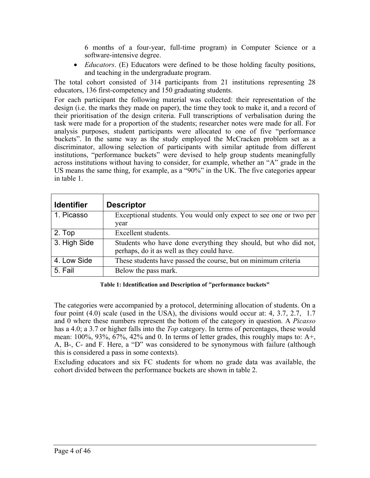6 months of a four-year, full-time program) in Computer Science or a software-intensive degree.

• *Educators*. (E) Educators were defined to be those holding faculty positions, and teaching in the undergraduate program.

The total cohort consisted of 314 participants from 21 institutions representing 28 educators, 136 first-competency and 150 graduating students.

For each participant the following material was collected: their representation of the design (i.e. the marks they made on paper), the time they took to make it, and a record of their prioritisation of the design criteria. Full transcriptions of verbalisation during the task were made for a proportion of the students; researcher notes were made for all. For analysis purposes, student participants were allocated to one of five "performance" buckets". In the same way as the study employed the McCracken problem set as a discriminator, allowing selection of participants with similar aptitude from different institutions, "performance buckets" were devised to help group students meaningfully across institutions without having to consider, for example, whether an "A" grade in the US means the same thing, for example, as a  $\degree 90\%$ " in the UK. The five categories appear in table 1.

| <b>Identifier</b> | <b>Descriptor</b>                                                                                             |
|-------------------|---------------------------------------------------------------------------------------------------------------|
| 1. Picasso        | Exceptional students. You would only expect to see one or two per<br>year                                     |
| 2. Top            | Excellent students.                                                                                           |
| 3. High Side      | Students who have done everything they should, but who did not,<br>perhaps, do it as well as they could have. |
| 4. Low Side       | These students have passed the course, but on minimum criteria                                                |
| 5. Fail           | Below the pass mark.                                                                                          |

#### **Table 1: Identification and Description of "performance buckets"**

The categories were accompanied by a protocol, determining allocation of students. On a four point (4.0) scale (used in the USA), the divisions would occur at: 4, 3.7, 2.7, 1.7 and 0 where these numbers represent the bottom of the category in question. A *Picasso* has a 4.0; a 3.7 or higher falls into the *Top* category. In terms of percentages, these would mean:  $100\%$ ,  $93\%$ ,  $67\%$ ,  $42\%$  and 0. In terms of letter grades, this roughly maps to: A+, A, B-, C- and F. Here, a "D" was considered to be synonymous with failure (although this is considered a pass in some contexts).

Excluding educators and six FC students for whom no grade data was available, the cohort divided between the performance buckets are shown in table 2.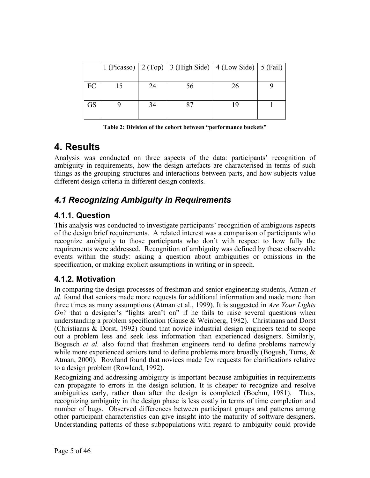|    |    | 1 (Picasso)   2 (Top)   3 (High Side)   4 (Low Side)   5 (Fail) |    |  |
|----|----|-----------------------------------------------------------------|----|--|
|    |    |                                                                 |    |  |
| FC | 24 |                                                                 | 26 |  |
|    |    |                                                                 |    |  |
| GS | 34 |                                                                 |    |  |
|    |    |                                                                 |    |  |

Table 2: Division of the cohort between "performance buckets"

# **4. Results**

Analysis was conducted on three aspects of the data: participants' recognition of ambiguity in requirements, how the design artefacts are characterised in terms of such things as the grouping structures and interactions between parts, and how subjects value different design criteria in different design contexts.

# *4.1 Recognizing Ambiguity in Requirements*

## **4.1.1. Question**

This analysis was conducted to investigate participants' recognition of ambiguous aspects of the design brief requirements. A related interest was a comparison of participants who recognize ambiguity to those participants who don't with respect to how fully the requirements were addressed. Recognition of ambiguity was defined by these observable events within the study: asking a question about ambiguities or omissions in the specification, or making explicit assumptions in writing or in speech.

## **4.1.2. Motivation**

In comparing the design processes of freshman and senior engineering students, Atman *et al*. found that seniors made more requests for additional information and made more than three times as many assumptions (Atman et al., 1999). It is suggested in *Are Your Lights On?* that a designer's "lights aren't on" if he fails to raise several questions when understanding a problem specification (Gause & Weinberg, 1982). Christiaans and Dorst (Christiaans & Dorst, 1992) found that novice industrial design engineers tend to scope out a problem less and seek less information than experienced designers. Similarly, Bogusch *et al.* also found that freshmen engineers tend to define problems narrowly while more experienced seniors tend to define problems more broadly (Bogush, Turns,  $\&$ Atman, 2000). Rowland found that novices made few requests for clarifications relative to a design problem (Rowland, 1992).

Recognizing and addressing ambiguity is important because ambiguities in requirements can propagate to errors in the design solution. It is cheaper to recognize and resolve ambiguities early, rather than after the design is completed (Boehm, 1981). Thus, recognizing ambiguity in the design phase is less costly in terms of time completion and number of bugs. Observed differences between participant groups and patterns among other participant characteristics can give insight into the maturity of software designers. Understanding patterns of these subpopulations with regard to ambiguity could provide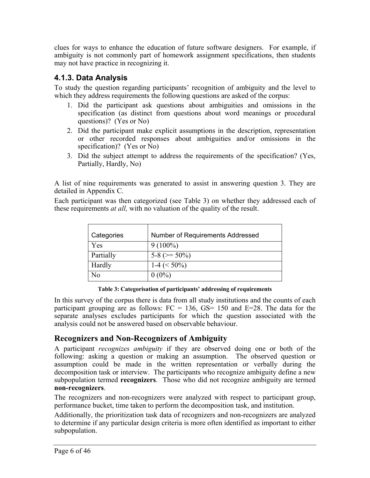clues for ways to enhance the education of future software designers. For example, if ambiguity is not commonly part of homework assignment specifications, then students may not have practice in recognizing it.

#### **4.1.3. Data Analysis**

To study the question regarding participants' recognition of ambiguity and the level to which they address requirements the following questions are asked of the corpus:

- 1. Did the participant ask questions about ambiguities and omissions in the specification (as distinct from questions about word meanings or procedural questions)? (Yes or No)
- 2. Did the participant make explicit assumptions in the description, representation or other recorded responses about ambiguities and/or omissions in the specification)? (Yes or No)
- 3. Did the subject attempt to address the requirements of the specification? (Yes, Partially, Hardly, No)

A list of nine requirements was generated to assist in answering question 3. They are detailed in Appendix C.

Each participant was then categorized (see Table 3) on whether they addressed each of these requirements *at all,* with no valuation of the quality of the result.

| Categories | Number of Requirements Addressed |
|------------|----------------------------------|
| Yes        | $9(100\%)$                       |
| Partially  | $5-8$ ( $\geq 50\%$ )            |
| Hardly     | $1-4 \leq 50\%$                  |
| No         | $0(0\%)$                         |

Table 3: Categorisation of participants' addressing of requirements

In this survey of the corpus there is data from all study institutions and the counts of each participant grouping are as follows:  $FC = 136$ ,  $GS = 150$  and  $E = 28$ . The data for the separate analyses excludes participants for which the question associated with the analysis could not be answered based on observable behaviour.

## **Recognizers and Non-Recognizers of Ambiguity**

A participant *recognizes ambiguity* if they are observed doing one or both of the following: asking a question or making an assumption. The observed question or assumption could be made in the written representation or verbally during the decomposition task or interview. The participants who recognize ambiguity define a new subpopulation termed **recognizers**. Those who did not recognize ambiguity are termed **non-recognizers**.

The recognizers and non-recognizers were analyzed with respect to participant group, performance bucket, time taken to perform the decomposition task, and institution.

Additionally, the prioritization task data of recognizers and non-recognizers are analyzed to determine if any particular design criteria is more often identified as important to either subpopulation.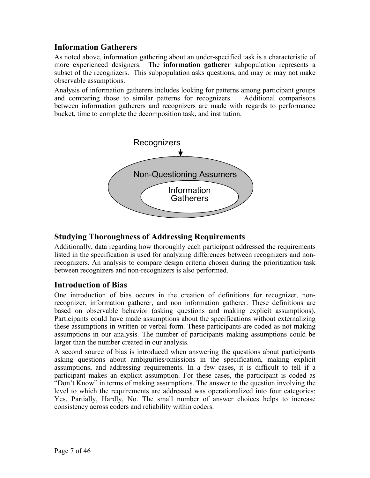#### **Information Gatherers**

As noted above, information gathering about an under-specified task is a characteristic of more experienced designers. The **information gatherer** subpopulation represents a subset of the recognizers. This subpopulation asks questions, and may or may not make observable assumptions.

Analysis of information gatherers includes looking for patterns among participant groups and comparing those to similar patterns for recognizers. Additional comparisons between information gatherers and recognizers are made with regards to performance bucket, time to complete the decomposition task, and institution.



#### **Studying Thoroughness of Addressing Requirements**

Additionally, data regarding how thoroughly each participant addressed the requirements listed in the specification is used for analyzing differences between recognizers and nonrecognizers. An analysis to compare design criteria chosen during the prioritization task between recognizers and non-recognizers is also performed.

#### **Introduction of Bias**

One introduction of bias occurs in the creation of definitions for recognizer, nonrecognizer, information gatherer, and non information gatherer. These definitions are based on observable behavior (asking questions and making explicit assumptions). Participants could have made assumptions about the specifications without externalizing these assumptions in written or verbal form. These participants are coded as not making assumptions in our analysis. The number of participants making assumptions could be larger than the number created in our analysis.

A second source of bias is introduced when answering the questions about participants asking questions about ambiguities/omissions in the specification, making explicit assumptions, and addressing requirements. In a few cases, it is difficult to tell if a participant makes an explicit assumption. For these cases, the participant is coded as "Don't Know" in terms of making assumptions. The answer to the question involving the level to which the requirements are addressed was operationalized into four categories: Yes, Partially, Hardly, No. The small number of answer choices helps to increase consistency across coders and reliability within coders.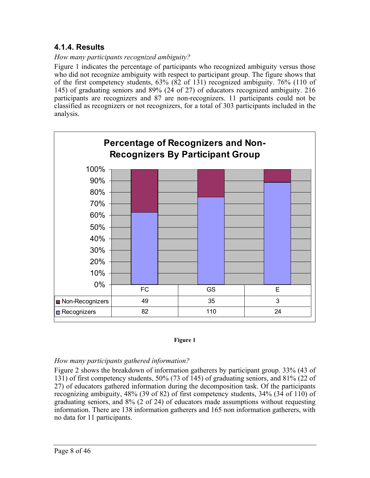## **4.1.4. Results**

#### *How many participants recognized ambiguity?*

Figure 1 indicates the percentage of participants who recognized ambiguity versus those who did not recognize ambiguity with respect to participant group. The figure shows that of the first competency students, 63% (82 of 131) recognized ambiguity. 76% (110 of 145) of graduating seniors and 89% (24 of 27) of educators recognized ambiguity. 216 participants are recognizers and 87 are non-recognizers. 11 participants could not be classified as recognizers or not recognizers, for a total of 303 participants included in the analysis.



#### **Figure 1**

#### *How many participants gathered information?*

Figure 2 shows the breakdown of information gatherers by participant group. 33% (43 of 131) of first competency students, 50% (73 of 145) of graduating seniors, and 81% (22 of 27) of educators gathered information during the decomposition task. Of the participants recognizing ambiguity, 48% (39 of 82) of first competency students, 34% (34 of 110) of graduating seniors, and 8% (2 of 24) of educators made assumptions without requesting information. There are 138 information gatherers and 165 non information gatherers, with no data for 11 participants.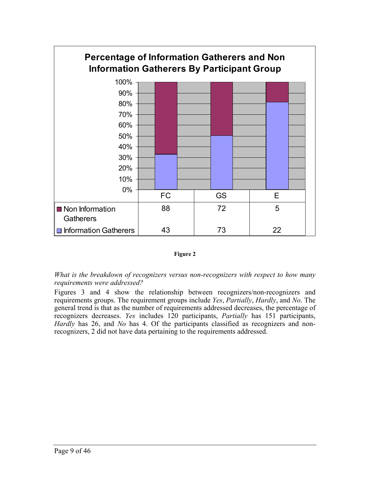



*What is the breakdown of recognizers versus non-recognizers with respect to how many requirements were addressed?* 

Figures 3 and 4 show the relationship between recognizers/non-recognizers and requirements groups. The requirement groups include *Yes*, *Partially*, *Hardly*, and *No*. The general trend is that as the number of requirements addressed decreases, the percentage of recognizers decreases. *Yes* includes 120 participants, *Partially* has 151 participants, *Hardly* has 26, and *No* has 4. Of the participants classified as recognizers and nonrecognizers, 2 did not have data pertaining to the requirements addressed.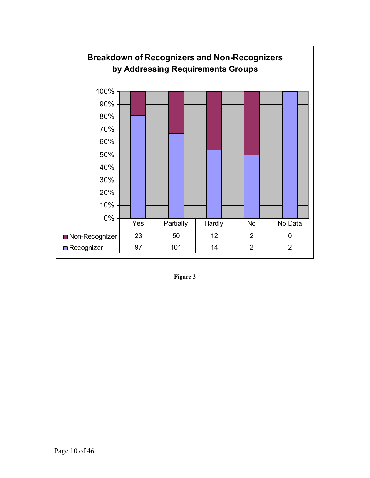

**Figure 3**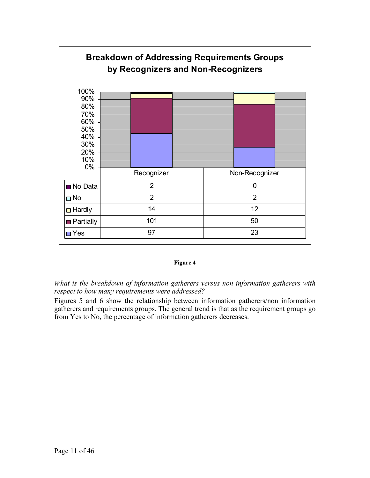

#### **Figure 4**

*What is the breakdown of information gatherers versus non information gatherers with respect to how many requirements were addressed?*

Figures 5 and 6 show the relationship between information gatherers/non information gatherers and requirements groups. The general trend is that as the requirement groups go from Yes to No, the percentage of information gatherers decreases.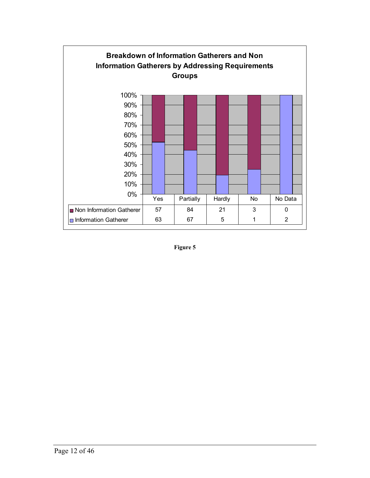

**Figure 5**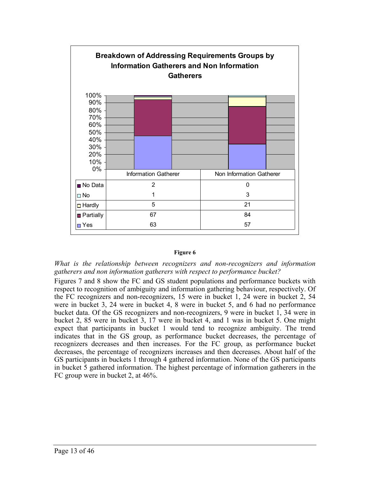

#### **Figure 6**

*What is the relationship between recognizers and non-recognizers and information gatherers and non information gatherers with respect to performance bucket?* 

Figures 7 and 8 show the FC and GS student populations and performance buckets with respect to recognition of ambiguity and information gathering behaviour, respectively. Of the FC recognizers and non-recognizers, 15 were in bucket 1, 24 were in bucket 2, 54 were in bucket 3, 24 were in bucket 4, 8 were in bucket 5, and 6 had no performance bucket data. Of the GS recognizers and non-recognizers, 9 were in bucket 1, 34 were in bucket 2, 85 were in bucket 3, 17 were in bucket 4, and 1 was in bucket 5. One might expect that participants in bucket 1 would tend to recognize ambiguity. The trend indicates that in the GS group, as performance bucket decreases, the percentage of recognizers decreases and then increases. For the FC group, as performance bucket decreases, the percentage of recognizers increases and then decreases. About half of the GS participants in buckets 1 through 4 gathered information. None of the GS participants in bucket 5 gathered information. The highest percentage of information gatherers in the FC group were in bucket 2, at 46%.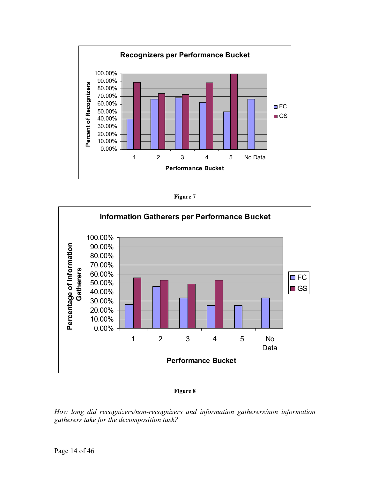







*How long did recognizers/non-recognizers and information gatherers/non information gatherers take for the decomposition task?*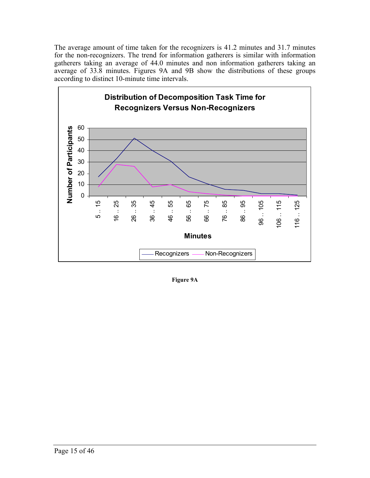The average amount of time taken for the recognizers is 41.2 minutes and 31.7 minutes for the non-recognizers. The trend for information gatherers is similar with information gatherers taking an average of 44.0 minutes and non information gatherers taking an average of 33.8 minutes. Figures 9A and 9B show the distributions of these groups according to distinct 10-minute time intervals.



**Figure 9A**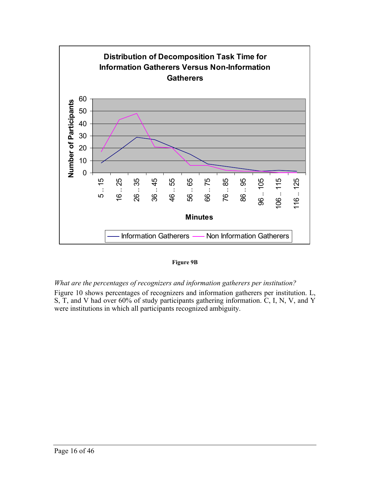

#### **Figure 9B**

#### *What are the percentages of recognizers and information gatherers per institution?*

Figure 10 shows percentages of recognizers and information gatherers per institution. L, S, T, and V had over 60% of study participants gathering information. C, I, N, V, and Y were institutions in which all participants recognized ambiguity.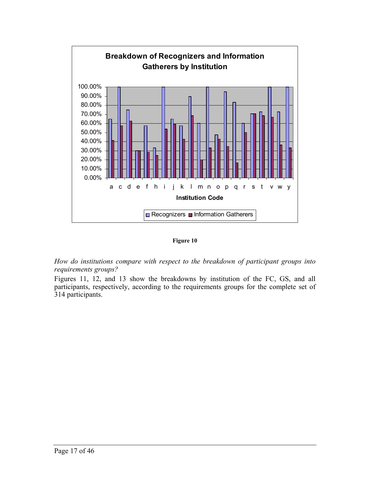

**Figure 10** 

*How do institutions compare with respect to the breakdown of participant groups into requirements groups?* 

Figures 11, 12, and 13 show the breakdowns by institution of the FC, GS, and all participants, respectively, according to the requirements groups for the complete set of 314 participants.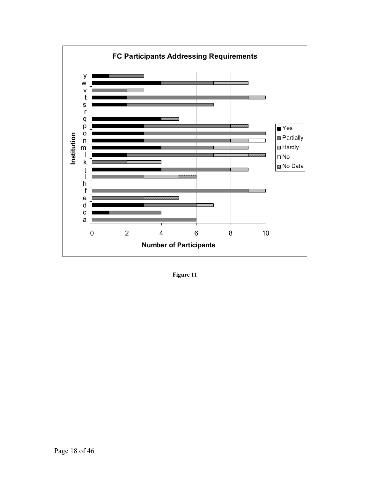

**Figure 11**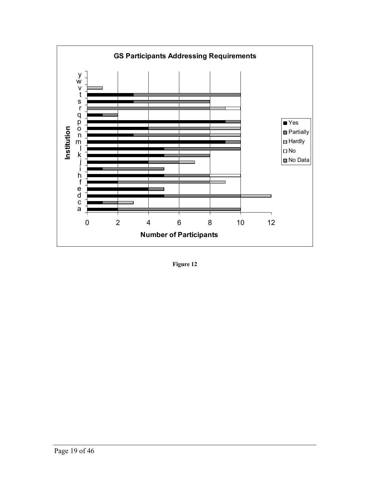

**Figure 12**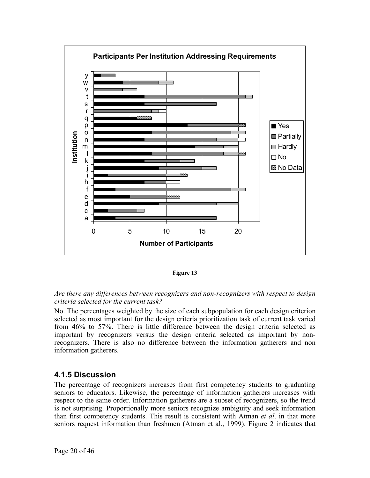

**Figure 13** 

#### *Are there any differences between recognizers and non-recognizers with respect to design criteria selected for the current task?*

No. The percentages weighted by the size of each subpopulation for each design criterion selected as most important for the design criteria prioritization task of current task varied from 46% to 57%. There is little difference between the design criteria selected as important by recognizers versus the design criteria selected as important by nonrecognizers. There is also no difference between the information gatherers and non information gatherers.

#### **4.1.5 Discussion**

The percentage of recognizers increases from first competency students to graduating seniors to educators. Likewise, the percentage of information gatherers increases with respect to the same order. Information gatherers are a subset of recognizers, so the trend is not surprising. Proportionally more seniors recognize ambiguity and seek information than first competency students. This result is consistent with Atman *et al*. in that more seniors request information than freshmen (Atman et al., 1999). Figure 2 indicates that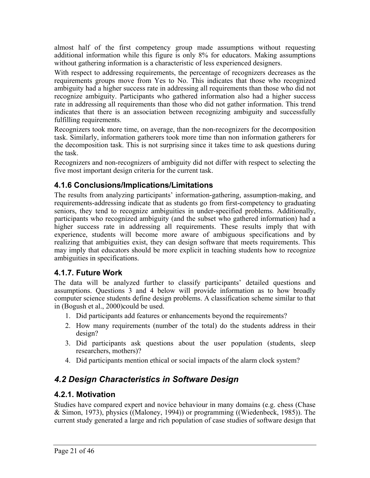almost half of the first competency group made assumptions without requesting additional information while this figure is only 8% for educators. Making assumptions without gathering information is a characteristic of less experienced designers.

With respect to addressing requirements, the percentage of recognizers decreases as the requirements groups move from Yes to No. This indicates that those who recognized ambiguity had a higher success rate in addressing all requirements than those who did not recognize ambiguity. Participants who gathered information also had a higher success rate in addressing all requirements than those who did not gather information. This trend indicates that there is an association between recognizing ambiguity and successfully fulfilling requirements.

Recognizers took more time, on average, than the non-recognizers for the decomposition task. Similarly, information gatherers took more time than non information gatherers for the decomposition task. This is not surprising since it takes time to ask questions during the task.

Recognizers and non-recognizers of ambiguity did not differ with respect to selecting the five most important design criteria for the current task.

## **4.1.6 Conclusions/Implications/Limitations**

The results from analyzing participants' information-gathering, assumption-making, and requirements-addressing indicate that as students go from first-competency to graduating seniors, they tend to recognize ambiguities in under-specified problems. Additionally, participants who recognized ambiguity (and the subset who gathered information) had a higher success rate in addressing all requirements. These results imply that with experience, students will become more aware of ambiguous specifications and by realizing that ambiguities exist, they can design software that meets requirements. This may imply that educators should be more explicit in teaching students how to recognize ambiguities in specifications.

#### **4.1.7. Future Work**

The data will be analyzed further to classify participants' detailed questions and assumptions. Questions 3 and 4 below will provide information as to how broadly computer science students define design problems. A classification scheme similar to that in (Bogush et al., 2000)could be used.

- 1. Did participants add features or enhancements beyond the requirements?
- 2. How many requirements (number of the total) do the students address in their design?
- 3. Did participants ask questions about the user population (students, sleep researchers, mothers)?
- 4. Did participants mention ethical or social impacts of the alarm clock system?

## *4.2 Design Characteristics in Software Design*

#### **4.2.1. Motivation**

Studies have compared expert and novice behaviour in many domains (e.g. chess (Chase & Simon, 1973), physics ((Maloney, 1994)) or programming ((Wiedenbeck, 1985)). The current study generated a large and rich population of case studies of software design that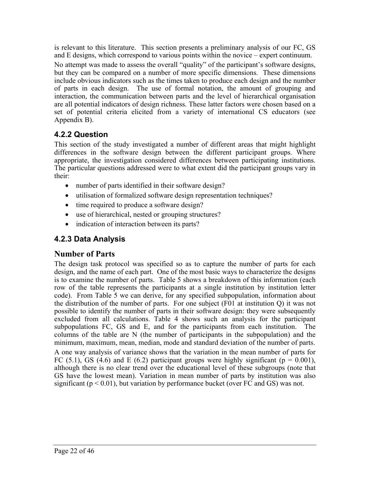is relevant to this literature. This section presents a preliminary analysis of our FC, GS and E designs, which correspond to various points within the novice  $-\frac{1}{2}$  expert continuum.

No attempt was made to assess the overall "quality" of the participant's software designs, but they can be compared on a number of more specific dimensions. These dimensions include obvious indicators such as the times taken to produce each design and the number of parts in each design. The use of formal notation, the amount of grouping and interaction, the communication between parts and the level of hierarchical organisation are all potential indicators of design richness. These latter factors were chosen based on a set of potential criteria elicited from a variety of international CS educators (see Appendix B).

## **4.2.2 Question**

This section of the study investigated a number of different areas that might highlight differences in the software design between the different participant groups. Where appropriate, the investigation considered differences between participating institutions. The particular questions addressed were to what extent did the participant groups vary in their:

- number of parts identified in their software design?
- utilisation of formalized software design representation techniques?
- time required to produce a software design?
- use of hierarchical, nested or grouping structures?
- indication of interaction between its parts?

#### **4.2.3 Data Analysis**

#### **Number of Parts**

The design task protocol was specified so as to capture the number of parts for each design, and the name of each part. One of the most basic ways to characterize the designs is to examine the number of parts. Table 5 shows a breakdown of this information (each row of the table represents the participants at a single institution by institution letter code). From Table 5 we can derive, for any specified subpopulation, information about the distribution of the number of parts. For one subject (F01 at institution Q) it was not possible to identify the number of parts in their software design: they were subsequently excluded from all calculations. Table 4 shows such an analysis for the participant subpopulations FC, GS and E, and for the participants from each institution. The columns of the table are N (the number of participants in the subpopulation) and the minimum, maximum, mean, median, mode and standard deviation of the number of parts. A one way analysis of variance shows that the variation in the mean number of parts for

FC (5.1), GS (4.6) and E (6.2) participant groups were highly significant ( $p = 0.001$ ), although there is no clear trend over the educational level of these subgroups (note that GS have the lowest mean). Variation in mean number of parts by institution was also significant ( $p < 0.01$ ), but variation by performance bucket (over FC and GS) was not.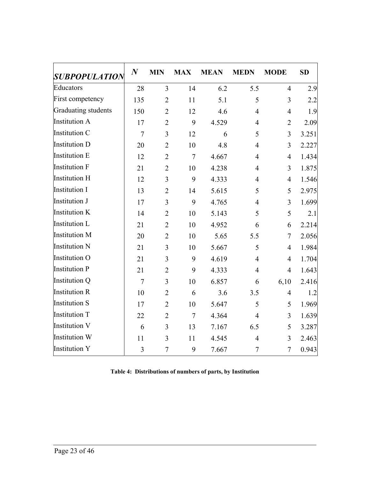| <b>SUBPOPULATION</b> | $\boldsymbol{N}$ | <b>MIN</b>     | <b>MAX</b>     | <b>MEAN</b> | <b>MEDN</b>    | <b>MODE</b>    | <b>SD</b> |
|----------------------|------------------|----------------|----------------|-------------|----------------|----------------|-----------|
| Educators            | 28               | $\overline{3}$ | 14             | 6.2         | 5.5            | $\overline{4}$ | 2.9       |
| First competency     | 135              | $\overline{2}$ | 11             | 5.1         | 5              | 3              | 2.2       |
| Graduating students  | 150              | $\overline{2}$ | 12             | 4.6         | $\overline{4}$ | $\overline{4}$ | 1.9       |
| <b>Institution A</b> | 17               | $\overline{2}$ | 9              | 4.529       | $\overline{4}$ | $\overline{2}$ | 2.09      |
| Institution C        | $\overline{7}$   | 3              | 12             | 6           | 5              | $\overline{3}$ | 3.251     |
| Institution D        | 20               | $\overline{2}$ | 10             | 4.8         | $\overline{4}$ | 3              | 2.227     |
| <b>Institution E</b> | 12               | $\overline{2}$ | $\overline{7}$ | 4.667       | $\overline{4}$ | $\overline{4}$ | 1.434     |
| <b>Institution F</b> | 21               | $\overline{2}$ | 10             | 4.238       | $\overline{4}$ | 3              | 1.875     |
| <b>Institution H</b> | 12               | $\overline{3}$ | 9              | 4.333       | $\overline{4}$ | $\overline{4}$ | 1.546     |
| <b>Institution I</b> | 13               | $\overline{2}$ | 14             | 5.615       | 5              | 5              | 2.975     |
| Institution J        | 17               | 3              | 9              | 4.765       | $\overline{4}$ | $\overline{3}$ | 1.699     |
| <b>Institution K</b> | 14               | $\overline{2}$ | 10             | 5.143       | 5              | 5              | 2.1       |
| Institution L        | 21               | $\overline{2}$ | 10             | 4.952       | 6              | 6              | 2.214     |
| <b>Institution M</b> | 20               | $\overline{2}$ | 10             | 5.65        | 5.5            | 7              | 2.056     |
| <b>Institution N</b> | 21               | 3              | 10             | 5.667       | 5              | $\overline{4}$ | 1.984     |
| Institution O        | 21               | 3              | 9              | 4.619       | $\overline{4}$ | $\overline{4}$ | 1.704     |
| <b>Institution P</b> | 21               | $\overline{2}$ | 9              | 4.333       | $\overline{4}$ | $\overline{4}$ | 1.643     |
| Institution Q        | $\overline{7}$   | $\overline{3}$ | 10             | 6.857       | 6              | 6,10           | 2.416     |
| <b>Institution R</b> | 10               | $\overline{2}$ | 6              | 3.6         | 3.5            | $\overline{4}$ | 1.2       |
| <b>Institution S</b> | 17               | $\overline{2}$ | 10             | 5.647       | 5              | 5              | 1.969     |
| <b>Institution T</b> | 22               | $\overline{2}$ | $\overline{7}$ | 4.364       | $\overline{4}$ | $\overline{3}$ | 1.639     |
| <b>Institution V</b> | 6                | $\overline{3}$ | 13             | 7.167       | 6.5            | 5              | 3.287     |
| <b>Institution W</b> | 11               | 3              | 11             | 4.545       | $\overline{4}$ | 3              | 2.463     |
| <b>Institution Y</b> | $\overline{3}$   | 7              | 9              | 7.667       | 7              | $\tau$         | 0.943     |

| Table 4: Distributions of numbers of parts, by Institution |  |
|------------------------------------------------------------|--|
|------------------------------------------------------------|--|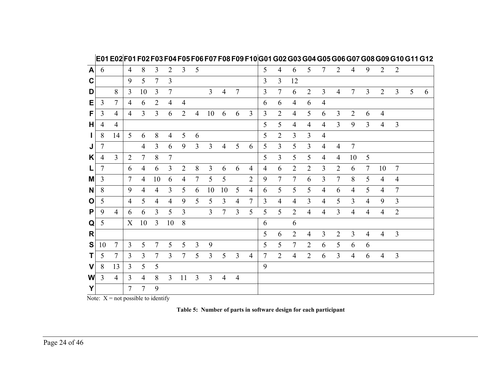|              |                |                 |                  |                 |                |                 |                |                 |                |                |                |                 |                 |                |                 |                |                |                |                |                | E01 E02 F01 F02 F03 F04 F05 F06 F07 F08 F09 F10 G01 G02 G03 G04 G05 G06 G07 G08 G09 G10 G11 G12 |                |                |   |
|--------------|----------------|-----------------|------------------|-----------------|----------------|-----------------|----------------|-----------------|----------------|----------------|----------------|-----------------|-----------------|----------------|-----------------|----------------|----------------|----------------|----------------|----------------|-------------------------------------------------------------------------------------------------|----------------|----------------|---|
| $\mathbf{A}$ | 6              |                 | $\overline{4}$   | 8               | $\overline{3}$ | 2               | 3              | 5               |                |                |                |                 | 5               | $\overline{4}$ | 6               | $\mathfrak{S}$ | $\overline{7}$ | 2              | 4              | 9              | $\overline{2}$                                                                                  | 2              |                |   |
| C            |                |                 | 9                | 5               | 7              | $\overline{3}$  |                |                 |                |                |                |                 | 3               | 3              | 12              |                |                |                |                |                |                                                                                                 |                |                |   |
| D            |                | 8               | 3                | 10              | 3              | $\tau$          |                |                 | $\overline{3}$ | $\overline{4}$ | $\overline{7}$ |                 | $\overline{3}$  | $\overline{7}$ | 6               | 2              | 3              | 4              | 7              | $\overline{3}$ | $\overline{2}$                                                                                  | $\overline{3}$ | 5 <sup>5</sup> | 6 |
| Е            | 3              | 7               | 4                | 6               | $\overline{2}$ | $\overline{4}$  | $\overline{4}$ |                 |                |                |                |                 | 6               | 6              | $\overline{4}$  | 6              | $\overline{4}$ |                |                |                |                                                                                                 |                |                |   |
| F            | 3              | $\overline{4}$  | 4                | $\overline{3}$  | 3              | 6               | 2              | $\overline{4}$  | 10             | 6              | 6              | $\overline{3}$  | 3               | $\overline{2}$ | $\overline{4}$  | 5 <sup>5</sup> | 6              | 3              | $\overline{2}$ | 6              | $\overline{4}$                                                                                  |                |                |   |
| H            | $\overline{4}$ | $\overline{4}$  |                  |                 |                |                 |                |                 |                |                |                |                 | 5               | 5              | $\overline{4}$  | $\overline{4}$ | $\overline{4}$ | $\overline{3}$ | 9              | $\overline{3}$ | 4                                                                                               | $\overline{3}$ |                |   |
|              | 8              | 14              | 5                | 6               | 8              | $\overline{4}$  | 5              | 6               |                |                |                |                 | 5               | $\overline{2}$ | 3               | 3              | $\overline{4}$ |                |                |                |                                                                                                 |                |                |   |
| J            | 7              |                 |                  | $\overline{4}$  | $\overline{3}$ | 6               | 9              | $\overline{3}$  | 3              | 4              | 5              | 6               | 5               | $\overline{3}$ | $\overline{5}$  | $\overline{3}$ | $\overline{4}$ | $\overline{4}$ | $\tau$         |                |                                                                                                 |                |                |   |
| K            | 4              | 3               | $\overline{2}$   | $\overline{7}$  | 8              | $7\overline{ }$ |                |                 |                |                |                |                 | 5               | $\overline{3}$ | 5               | 5 <sup>5</sup> | $\overline{4}$ | $\overline{4}$ | 10             | 5              |                                                                                                 |                |                |   |
| L            | $\overline{7}$ |                 | 6                | $\overline{4}$  | 6              | $\overline{3}$  | 2              | 8               | $\overline{3}$ | 6              | 6              | $\overline{4}$  | $\overline{4}$  | 6              | 2               | $\overline{2}$ | $\overline{3}$ | 2              | 6              | $\tau$         | 10                                                                                              | $\tau$         |                |   |
| M            | 3              |                 | 7                | $\overline{4}$  | 10             | 6               | $\overline{4}$ | $\tau$          | $\mathfrak{S}$ | 5              |                | 2               | 9               | $\overline{7}$ | $7\phantom{.0}$ | 6              | $\overline{3}$ | $\tau$         | 8              | 5              | $\overline{4}$                                                                                  | $\overline{4}$ |                |   |
| N            | 8              |                 | 9                | $\overline{4}$  | $\overline{4}$ | 3               | 5              | 6               | 10             | 10             | 5              | $\overline{4}$  | 6               | 5              | 5               | 5              | $\overline{4}$ | 6              | 4              | 5              | 4                                                                                               | $\tau$         |                |   |
| O            | 5              |                 | 4                | 5               | 4              | $\overline{4}$  | 9              | $5\overline{)}$ | 5              | 3              | $\overline{4}$ | $7\phantom{.0}$ | $\overline{3}$  | $\overline{4}$ | $\overline{4}$  | $\overline{3}$ | $\overline{4}$ | 5              | 3              | $\overline{4}$ | 9                                                                                               | 3              |                |   |
| P            | 9              | 4               | 6                | 6               | 3              | 5               | 3              |                 | 3              | 7              | 3              | 5               | 5               | 5              | 2               | $\overline{4}$ | 4              | 3              | 4              | $\overline{4}$ | 4                                                                                               | $\overline{2}$ |                |   |
| Q            | 5              |                 | $\boldsymbol{X}$ | 10              | $\overline{3}$ | 10              | 8              |                 |                |                |                |                 | 6               |                | 6               |                |                |                |                |                |                                                                                                 |                |                |   |
| R            |                |                 |                  |                 |                |                 |                |                 |                |                |                |                 | 5               | 6              | $\overline{2}$  | $\overline{4}$ | 3              | 2              | 3              | 4              | 4                                                                                               | 3              |                |   |
| S            | 10             | $7\phantom{.0}$ | $\overline{3}$   | 5               | $\overline{7}$ | 5               | 5              | $\overline{3}$  | 9              |                |                |                 | 5               | 5 <sup>5</sup> | $7\phantom{.0}$ | $\overline{2}$ | 6              | 5              | 6              | 6              |                                                                                                 |                |                |   |
| Т            | 5              | $\tau$          | 3                | $\overline{3}$  | 7              | $\overline{3}$  | $\tau$         | 5 <sup>5</sup>  | $\overline{3}$ | 5              | 3              | $\overline{4}$  | $7\phantom{.0}$ | $\overline{2}$ | $\overline{4}$  | $\overline{2}$ | 6              | $\overline{3}$ | 4              | 6              | 4                                                                                               | $\overline{3}$ |                |   |
| $\mathbf V$  | 8              | 13              | $\overline{3}$   | $5\overline{)}$ | 5              |                 |                |                 |                |                |                |                 | 9               |                |                 |                |                |                |                |                |                                                                                                 |                |                |   |
| W            | $\overline{3}$ | $\overline{4}$  | 3                | $\overline{4}$  | 8              | $\overline{3}$  | 11             | 3               | 3              | 4              | 4              |                 |                 |                |                 |                |                |                |                |                |                                                                                                 |                |                |   |
| Y            |                |                 | 7                | $\overline{7}$  | 9              |                 |                |                 |                |                |                |                 |                 |                |                 |                |                |                |                |                |                                                                                                 |                |                |   |

# **E01 E02 F01 F02F03F04F05F06F07F08F09F10G01G02 G03G04G05G06G07G08G09G10G11G12**

Note:  $X = not possible to identify$ 

**Table 5: Number of parts in software design for each participant**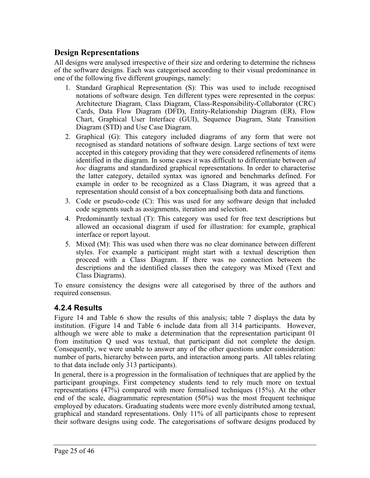## **Design Representations**

All designs were analysed irrespective of their size and ordering to determine the richness of the software designs. Each was categorised according to their visual predominance in one of the following five different groupings, namely:

- 1. Standard Graphical Representation (S): This was used to include recognised notations of software design. Ten different types were represented in the corpus: Architecture Diagram, Class Diagram, Class-Responsibility-Collaborator (CRC) Cards, Data Flow Diagram (DFD), Entity-Relationship Diagram (ER), Flow Chart, Graphical User Interface (GUI), Sequence Diagram, State Transition Diagram (STD) and Use Case Diagram.
- 2. Graphical (G): This category included diagrams of any form that were not recognised as standard notations of software design. Large sections of text were accepted in this category providing that they were considered refinements of items identified in the diagram. In some cases it was difficult to differentiate between *ad hoc* diagrams and standardized graphical representations. In order to characterise the latter category, detailed syntax was ignored and benchmarks defined. For example in order to be recognized as a Class Diagram, it was agreed that a representation should consist of a box conceptualising both data and functions.
- 3. Code or pseudo-code (C): This was used for any software design that included code segments such as assignments, iteration and selection.
- 4. Predominantly textual (T): This category was used for free text descriptions but allowed an occasional diagram if used for illustration: for example, graphical interface or report layout.
- 5. Mixed (M): This was used when there was no clear dominance between different styles. For example a participant might start with a textual description then proceed with a Class Diagram. If there was no connection between the descriptions and the identified classes then the category was Mixed (Text and Class Diagrams).

To ensure consistency the designs were all categorised by three of the authors and required consensus.

#### **4.2.4 Results**

Figure 14 and Table 6 show the results of this analysis; table 7 displays the data by institution. (Figure 14 and Table 6 include data from all 314 participants. However, although we were able to make a determination that the representation participant 01 from institution Q used was textual, that participant did not complete the design. Consequently, we were unable to answer any of the other questions under consideration: number of parts, hierarchy between parts, and interaction among parts. All tables relating to that data include only 313 participants).

In general, there is a progression in the formalisation of techniques that are applied by the participant groupings. First competency students tend to rely much more on textual representations (47%) compared with more formalised techniques (15%). At the other end of the scale, diagrammatic representation (50%) was the most frequent technique employed by educators. Graduating students were more evenly distributed among textual, graphical and standard representations. Only 11% of all participants chose to represent their software designs using code. The categorisations of software designs produced by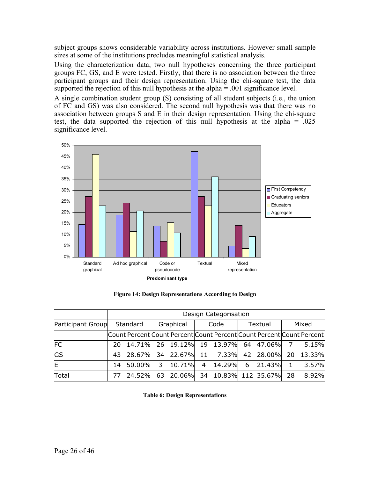subject groups shows considerable variability across institutions. However small sample sizes at some of the institutions precludes meaningful statistical analysis.

Using the characterization data, two null hypotheses concerning the three participant groups FC, GS, and E were tested. Firstly, that there is no association between the three participant groups and their design representation. Using the chi-square test, the data supported the rejection of this null hypothesis at the alpha = .001 significance level.

A single combination student group (S) consisting of all student subjects (i.e., the union of FC and GS) was also considered. The second null hypothesis was that there was no association between groups S and E in their design representation. Using the chi-square test, the data supported the rejection of this null hypothesis at the alpha = .025 significance level.



|                   |     | Design Categorisation                                                 |  |           |  |                                               |  |         |              |       |  |
|-------------------|-----|-----------------------------------------------------------------------|--|-----------|--|-----------------------------------------------|--|---------|--------------|-------|--|
| Participant Group |     | Standard                                                              |  | Graphical |  | Code                                          |  | Textual |              | Mixed |  |
|                   |     | Count Percent Count Percent Count Percent Count Percent Count Percent |  |           |  |                                               |  |         |              |       |  |
| <b>FC</b>         | 20  | 14.71% 26 19.12% 19 13.97% 64 47.06% 7                                |  |           |  |                                               |  |         |              | 5.15% |  |
| <b>GS</b>         | 43. |                                                                       |  |           |  | 28.67% 34 22.67% 11 7.33% 42 28.00% 20 13.33% |  |         |              |       |  |
| E                 | 14  |                                                                       |  |           |  | 50.00% 3 10.71% 4 14.29% 6 21.43%             |  |         | $\mathbf{1}$ | 3.57% |  |
| Total             | 77. | 24.52%                                                                |  |           |  | 63 20.06% 34 10.83% 112 35.67%                |  |         | - 28         | 8.92% |  |

**Table 6: Design Representations**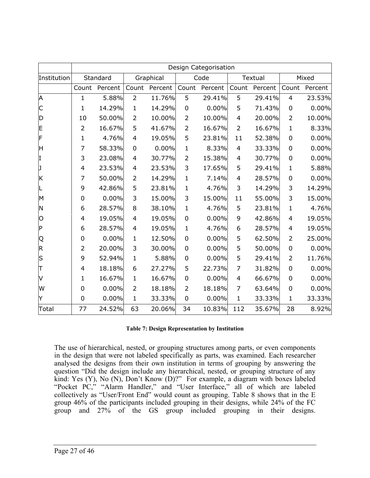|             |                |          |                          |           |                  | Design Categorisation |                |         |                |         |
|-------------|----------------|----------|--------------------------|-----------|------------------|-----------------------|----------------|---------|----------------|---------|
| Institution |                | Standard |                          | Graphical |                  | Code                  |                | Textual |                | Mixed   |
|             | Count          | Percent  | Count                    | Percent   | Count            | Percent               | Count          | Percent | Count          | Percent |
| A           | $\mathbf{1}$   | 5.88%    | $\overline{2}$           | 11.76%    | 5                | 29.41%                | 5              | 29.41%  | $\overline{4}$ | 23.53%  |
| Ċ           | $\mathbf{1}$   | 14.29%   | $\mathbf{1}$             | 14.29%    | $\boldsymbol{0}$ | 0.00%                 | 5              | 71.43%  | $\mathbf 0$    | 0.00%   |
| D           | 10             | 50.00%   | $\overline{2}$           | 10.00%    | $\overline{2}$   | 10.00%                | $\overline{4}$ | 20.00%  | $\overline{2}$ | 10.00%  |
| E           | $\overline{2}$ | 16.67%   | 5                        | 41.67%    | $\overline{2}$   | 16.67%                | $\overline{2}$ | 16.67%  | $\mathbf{1}$   | 8.33%   |
| IF          | $\mathbf{1}$   | 4.76%    | $\overline{\mathcal{A}}$ | 19.05%    | 5                | 23.81%                | 11             | 52.38%  | $\mathbf 0$    | 0.00%   |
| H           | $\overline{7}$ | 58.33%   | 0                        | 0.00%     | $\mathbf{1}$     | 8.33%                 | $\overline{4}$ | 33.33%  | $\mathbf 0$    | 0.00%   |
|             | 3              | 23.08%   | 4                        | 30.77%    | $\overline{2}$   | 15.38%                | $\overline{4}$ | 30.77%  | $\pmb{0}$      | 0.00%   |
|             | $\overline{4}$ | 23.53%   | $\overline{\mathbf{4}}$  | 23.53%    | 3                | 17.65%                | 5              | 29.41%  | $\mathbf{1}$   | 5.88%   |
| Κ           | $\overline{7}$ | 50.00%   | $\overline{2}$           | 14.29%    | $\mathbf 1$      | 7.14%                 | $\overline{4}$ | 28.57%  | $\pmb{0}$      | 0.00%   |
|             | 9              | 42.86%   | 5                        | 23.81%    | $\mathbf{1}$     | 4.76%                 | 3              | 14.29%  | 3              | 14.29%  |
| M           | $\mathbf 0$    | 0.00%    | 3                        | 15.00%    | 3                | 15.00%                | 11             | 55.00%  | 3              | 15.00%  |
| ΙN          | 6              | 28.57%   | 8                        | 38.10%    | $\mathbf{1}$     | 4.76%                 | 5              | 23.81%  | $\mathbf{1}$   | 4.76%   |
| Ю           | $\overline{4}$ | 19.05%   | $\overline{4}$           | 19.05%    | $\pmb{0}$        | 0.00%                 | 9              | 42.86%  | 4              | 19.05%  |
| P           | 6              | 28.57%   | $\overline{4}$           | 19.05%    | $\mathbf{1}$     | 4.76%                 | 6              | 28.57%  | 4              | 19.05%  |
| Q           | $\mathbf 0$    | 0.00%    | $\mathbf{1}$             | 12.50%    | $\boldsymbol{0}$ | 0.00%                 | 5              | 62.50%  | $\overline{2}$ | 25.00%  |
| $\mathsf R$ | $\overline{2}$ | 20.00%   | 3                        | 30.00%    | $\pmb{0}$        | 0.00%                 | 5              | 50.00%  | $\pmb{0}$      | 0.00%   |
| S           | 9              | 52.94%   | $\mathbf{1}$             | 5.88%     | $\boldsymbol{0}$ | 0.00%                 | 5              | 29.41%  | $\overline{2}$ | 11.76%  |
| π           | $\overline{4}$ | 18.18%   | 6                        | 27.27%    | 5                | 22.73%                | $\overline{7}$ | 31.82%  | $\mathbf 0$    | 0.00%   |
| v           | $\mathbf{1}$   | 16.67%   | $\mathbf{1}$             | 16.67%    | $\mathbf 0$      | 0.00%                 | 4              | 66.67%  | $\mathbf 0$    | 0.00%   |
| W           | $\overline{0}$ | 0.00%    | $\overline{2}$           | 18.18%    | $\overline{2}$   | 18.18%                | $\overline{7}$ | 63.64%  | $\mathbf 0$    | 0.00%   |
| Y           | $\mathbf 0$    | 0.00%    | $\mathbf{1}$             | 33.33%    | $\mathbf 0$      | 0.00%                 | $\mathbf{1}$   | 33.33%  | $\mathbf{1}$   | 33.33%  |
| Total       | 77             | 24.52%   | 63                       | 20.06%    | 34               | 10.83%                | 112            | 35.67%  | 28             | 8.92%   |

#### **Table 7: Design Representation by Institution**

The use of hierarchical, nested, or grouping structures among parts, or even components in the design that were not labeled specifically as parts, was examined. Each researcher analysed the designs from their own institution in terms of grouping by answering the question "Did the design include any hierarchical, nested, or grouping structure of any kind: Yes (Y), No (N), Don't Know (D)?" For example, a diagram with boxes labeled "Pocket PC," "Alarm Handler," and "User Interface," all of which are labeled collectively as "User/Front End" would count as grouping. Table 8 shows that in the E group 46% of the participants included grouping in their designs, while 24% of the FC group and 27% of the GS group included grouping in their designs.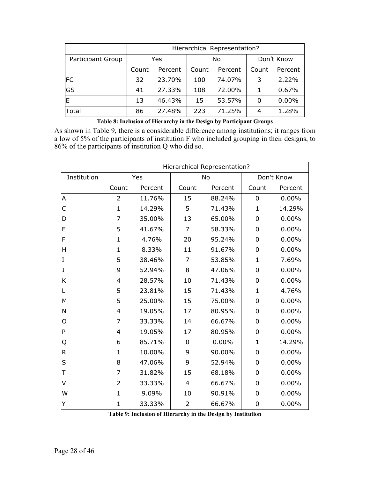|                   |       | Hierarchical Representation? |       |         |            |         |  |  |  |  |  |
|-------------------|-------|------------------------------|-------|---------|------------|---------|--|--|--|--|--|
| Participant Group |       | Yes                          |       | No      | Don't Know |         |  |  |  |  |  |
|                   | Count | Percent                      | Count | Percent | Count      | Percent |  |  |  |  |  |
| <b>FC</b>         | 32    | 23.70%                       | 100   | 74.07%  | 3          | 2.22%   |  |  |  |  |  |
| GS                | 41    | 27.33%                       | 108   | 72.00%  |            | 0.67%   |  |  |  |  |  |
| E                 | 13    | 46.43%                       | 15    | 53.57%  | 0          | 0.00%   |  |  |  |  |  |
| Total             | 86    | 27.48%                       | 223   | 71.25%  | 4          | 1.28%   |  |  |  |  |  |

**Table 8: Inclusion of Hierarchy in the Design by Participant Groups** 

As shown in Table 9, there is a considerable difference among institutions; it ranges from a low of 5% of the participants of institution F who included grouping in their designs, to  $86\%$  of the participants of institution Q who did so.

|                         |                | Hierarchical Representation? |                |         |              |            |  |  |  |  |  |  |
|-------------------------|----------------|------------------------------|----------------|---------|--------------|------------|--|--|--|--|--|--|
| Institution             |                | Yes                          |                | No      |              | Don't Know |  |  |  |  |  |  |
|                         | Count          | Percent                      | Count          | Percent | Count        | Percent    |  |  |  |  |  |  |
| A                       | $\overline{2}$ | 11.76%                       | 15             | 88.24%  | 0            | 0.00%      |  |  |  |  |  |  |
| $\mathsf{C}$            | $\mathbf{1}$   | 14.29%                       | 5              | 71.43%  | $\mathbf{1}$ | 14.29%     |  |  |  |  |  |  |
| D                       | 7              | 35.00%                       | 13             | 65.00%  | 0            | 0.00%      |  |  |  |  |  |  |
| E                       | 5              | 41.67%                       | 7              | 58.33%  | 0            | 0.00%      |  |  |  |  |  |  |
| F                       | $\mathbf{1}$   | 4.76%                        | 20             | 95.24%  | 0            | 0.00%      |  |  |  |  |  |  |
| Η                       | 1              | 8.33%                        | 11             | 91.67%  | 0            | 0.00%      |  |  |  |  |  |  |
| Ι                       | 5              | 38.46%                       | 7              | 53.85%  | $\mathbf{1}$ | 7.69%      |  |  |  |  |  |  |
| J                       | 9              | 52.94%                       | 8              | 47.06%  | 0            | 0.00%      |  |  |  |  |  |  |
| K                       | $\overline{4}$ | 28.57%<br>10<br>71.43%       |                |         | 0            | 0.00%      |  |  |  |  |  |  |
|                         | 5              | 23.81%                       | 15             | 71.43%  | $\mathbf{1}$ | 4.76%      |  |  |  |  |  |  |
| M                       | 5              | 25.00%                       | 15             | 75.00%  | 0            | 0.00%      |  |  |  |  |  |  |
| N                       | $\overline{4}$ | 19.05%                       | 17             | 80.95%  | 0            | 0.00%      |  |  |  |  |  |  |
| O                       | 7              | 33.33%                       | 14             | 66.67%  | 0            | 0.00%      |  |  |  |  |  |  |
| $\mathsf P$             | $\overline{4}$ | 19.05%                       | 17             | 80.95%  | 0            | 0.00%      |  |  |  |  |  |  |
| Q                       | 6              | 85.71%                       | $\mathbf 0$    | 0.00%   | $\mathbf{1}$ | 14.29%     |  |  |  |  |  |  |
| $\mathsf R$             | $\mathbf{1}$   | 10.00%                       | 9              | 90.00%  | 0            | 0.00%      |  |  |  |  |  |  |
| $\overline{\mathsf{S}}$ | 8              | 47.06%                       | 9              | 52.94%  | 0            | 0.00%      |  |  |  |  |  |  |
| Τ                       | 7              | 31.82%                       | 15             | 68.18%  | 0            | 0.00%      |  |  |  |  |  |  |
| V                       | $\overline{2}$ | 33.33%                       | 4              | 66.67%  | 0            | 0.00%      |  |  |  |  |  |  |
| W                       | $\mathbf{1}$   | 9.09%                        | 10             | 90.91%  | 0            | 0.00%      |  |  |  |  |  |  |
| Y                       | $\mathbf{1}$   | 33.33%                       | $\overline{2}$ | 66.67%  | 0            | 0.00%      |  |  |  |  |  |  |

**Table 9: Inclusion of Hierarchy in the Design by Institution**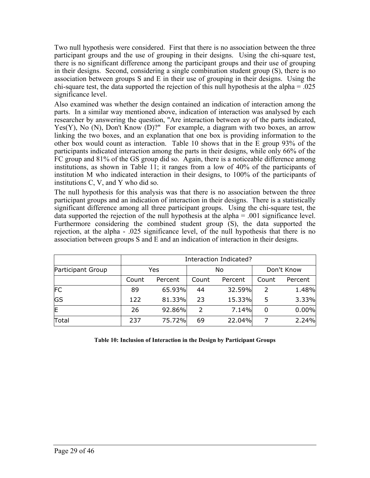Two null hypothesis were considered. First that there is no association between the three participant groups and the use of grouping in their designs. Using the chi-square test, there is no significant difference among the participant groups and their use of grouping in their designs. Second, considering a single combination student group (S), there is no association between groups  $S$  and  $E$  in their use of grouping in their designs. Using the chi-square test, the data supported the rejection of this null hypothesis at the alpha  $= .025$ significance level.

Also examined was whether the design contained an indication of interaction among the parts. In a similar way mentioned above, indication of interaction was analysed by each researcher by answering the question, "Are interaction between ay of the parts indicated, participants indicated interaction among the parts in their designs, while only 66% of the FC group and 81% of the GS group did so. Again, there is a noticeable difference among institutions, as shown in Table 11; it ranges from a low of  $40\%$  of the participants of institution M who indicated interaction in their designs, to 100% of the participants of institutions C, V, and Y who did so. Yes(Y), No (N), Don't Know (D)?" For example, a diagram with two boxes, an arrow linking the two boxes, and an explanation that one box is providing information to the other box would count as interaction. Table 10 shows that in the E group 93% of the

The null hypothesis for this analysis was that there is no association between the three participant groups and an indication of interaction in their designs. There is a statistically significant difference among all three participant groups. Using the chi-square test, the data supported the rejection of the null hypothesis at the alpha  $= .001$  significance level. Furthermore considering the combined student group (S), the data supported the rejection, at the alpha - .025 significance level, of the null hypothesis that there is no association between groups S and E and an indication of interaction in their designs.

|                   |               | Interaction Indicated? |               |         |               |         |  |  |  |  |  |  |
|-------------------|---------------|------------------------|---------------|---------|---------------|---------|--|--|--|--|--|--|
| Participant Group |               | Yes                    |               | No      | Don't Know    |         |  |  |  |  |  |  |
|                   | Count         | Percent                | Count         | Percent | Count         | Percent |  |  |  |  |  |  |
| <b>FC</b>         | 89            | 65.93%                 | 44            | 32.59%  | $\mathcal{P}$ | 1.48%   |  |  |  |  |  |  |
| <b>GS</b>         | 81.33%<br>122 |                        | 23            | 15.33%  | 5             | 3.33%   |  |  |  |  |  |  |
| E                 | 26            | 92.86%                 | $\mathcal{P}$ | 7.14%   | 0             | 0.00%   |  |  |  |  |  |  |
| Total             | 237           | 75.72%                 | 69            | 22.04%  |               | 2.24%   |  |  |  |  |  |  |

#### Table 10: Inclusion of Interaction in the Design by Participant Groups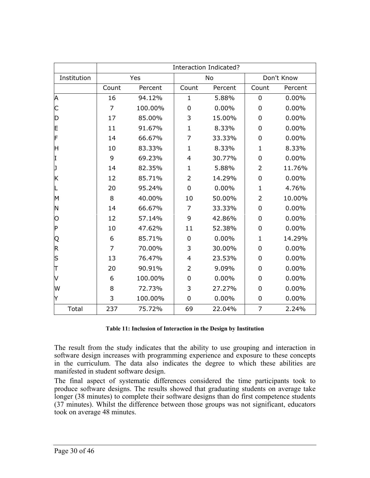|                         | Interaction Indicated? |         |                |         |                |         |
|-------------------------|------------------------|---------|----------------|---------|----------------|---------|
| Institution             | Yes                    |         | No             |         | Don't Know     |         |
|                         | Count                  | Percent | Count          | Percent | Count          | Percent |
| A                       | 16                     | 94.12%  | 1              | 5.88%   | 0              | 0.00%   |
| $\mathsf{C}$            | $\overline{7}$         | 100.00% | 0              | 0.00%   | $\Omega$       | 0.00%   |
| D                       | 17                     | 85.00%  | 3              | 15.00%  | 0              | 0.00%   |
| E                       | 11                     | 91.67%  | $\mathbf{1}$   | 8.33%   | 0              | 0.00%   |
| F                       | 14                     | 66.67%  | 7              | 33.33%  | 0              | 0.00%   |
| ΙH                      | 10                     | 83.33%  | 1              | 8.33%   | $\mathbf{1}$   | 8.33%   |
| I                       | 9                      | 69.23%  | 4              | 30.77%  | 0              | 0.00%   |
| J                       | 14                     | 82.35%  | $\mathbf{1}$   | 5.88%   | $\overline{2}$ | 11.76%  |
| Κ                       | 12                     | 85.71%  | $\overline{2}$ | 14.29%  | 0              | 0.00%   |
| L                       | 20                     | 95.24%  | 0              | 0.00%   | 1              | 4.76%   |
| M                       | 8                      | 40.00%  | 10             | 50.00%  | 2              | 10.00%  |
| N                       | 14                     | 66.67%  | 7              | 33.33%  | 0              | 0.00%   |
| O                       | 12                     | 57.14%  | 9              | 42.86%  | 0              | 0.00%   |
| $\mathsf P$             | 10                     | 47.62%  | 11             | 52.38%  | 0              | 0.00%   |
| Q                       | 6                      | 85.71%  | 0              | 0.00%   | $\mathbf{1}$   | 14.29%  |
| R                       | 7                      | 70.00%  | 3              | 30.00%  | 0              | 0.00%   |
| $\overline{\mathsf{S}}$ | 13                     | 76.47%  | 4              | 23.53%  | 0              | 0.00%   |
| Τ                       | 20                     | 90.91%  | $\overline{2}$ | 9.09%   | 0              | 0.00%   |
| V                       | 6                      | 100.00% | 0              | 0.00%   | 0              | 0.00%   |
| W                       | 8                      | 72.73%  | 3              | 27.27%  | 0              | 0.00%   |
| Υ                       | 3                      | 100.00% | 0              | 0.00%   | $\mathbf 0$    | 0.00%   |
| Total                   | 237                    | 75.72%  | 69             | 22.04%  | $\overline{7}$ | 2.24%   |

#### **Table 11: Inclusion of Interaction in the Design by Institution**

The result from the study indicates that the ability to use grouping and interaction in software design increases with programming experience and exposure to these concepts in the curriculum. The data also indicates the degree to which these abilities are manifested in student software design.

The final aspect of systematic differences considered the time participants took to produce software designs. The results showed that graduating students on average take longer (38 minutes) to complete their software designs than do first competence students (37 minutes). Whilst the difference between those groups was not significant, educators took on average 48 minutes.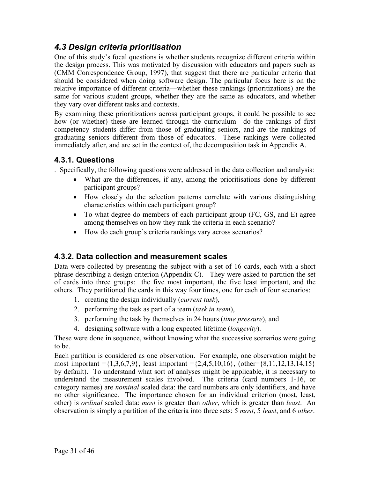## *4.3 Design criteria prioritisation*

One of this study's focal questions is whether students recognize different criteria within the design process. This was motivated by discussion with educators and papers such as (CMM Correspondence Group, 1997), that suggest that there are particular criteria that should be considered when doing software design. The particular focus here is on the relative importance of different criteria—whether these rankings (prioritizations) are the same for various student groups, whether they are the same as educators, and whether they vary over different tasks and contexts.

By examining these prioritizations across participant groups, it could be possible to see how (or whether) these are learned through the curriculum—do the rankings of first competency students differ from those of graduating seniors, and are the rankings of graduating seniors different from those of educators. These rankings were collected immediately after, and are set in the context of, the decomposition task in Appendix A.

#### **4.3.1. Questions**

. Specifically, the following questions were addressed in the data collection and analysis:

- What are the differences, if any, among the prioritisations done by different participant groups?
- How closely do the selection patterns correlate with various distinguishing characteristics within each participant group?
- To what degree do members of each participant group (FC, GS, and E) agree among themselves on how they rank the criteria in each scenario?
- How do each group's criteria rankings vary across scenarios?

#### **4.3.2. Data collection and measurement scales**

Data were collected by presenting the subject with a set of 16 cards, each with a short phrase describing a design criterion (Appendix C). They were asked to partition the set of cards into three groups: the five most important, the five least important, and the others. They partitioned the cards in this way four times, one for each of four scenarios:

- 1. creating the design individually (*current task*),
- 2. performing the task as part of a team (*task in team*),
- 3. performing the task by themselves in 24 hours (*time pressure*), and
- 4. designi ng software with a long expected lifetime (*longevity*).

These were done in sequence, without knowing what the successive scenarios were going to be.

by default). To understand what sort of analyses might be applicable, it is necessary to observation is simply a partition of the criteria into three sets: 5 *most*, 5 *least*, and 6 *other*. Each partition is considered as one observation. For example, one observation might be most important = $\{1,3,6,7,9\}$ , least important = $\{2,4,5,10,16\}$ , (other= $\{8,11,12,13,14,15\}$ ) understand the measurement scales involved. The criteria (card numbers 1-16, or category names) are *nominal* scaled data: the card numbers are only identifiers, and have no other significance. The importance chosen for an individual criterion (most, least, other) is *ordinal* scaled data: *most* is greater than *other*, which is greater than *least*. An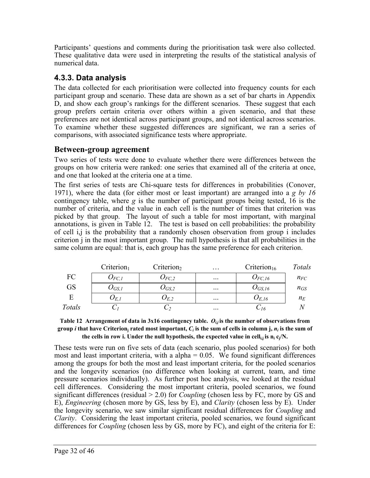Participants<sup>†</sup> questions and comments during the prioritisation task were also collected. These qualitative data were used in interpreting the results of the statistical analysis of numerical data.

#### **4.3.3. Data analysis**

D, and show each group's rankings for the different scenarios. These suggest that each The data collected for each prioritisation were collected into frequency counts for each participant group and scenario. These data are shown as a set of bar charts in Appendix group prefers certain criteria over others within a given scenario, and that these preferences are not identical across participant groups, and not identical across scenarios. To examine whether these suggested differences are significant, we ran a series of comparisons, with associated significance tests where appropriate.

#### **Between-group agreement**

Two series of tests were done to evaluate whether there were differences between the and one that looked at the criteria one at a time. groups on how criteria were ranked: one series that examined all of the criteria at once,

The first series of tests are Chi-square tests for differences in probabilities (Conover, 1971), where the data (for either most or least important) are arranged into a *g by* 16 contingency table, where  $g$  is the number of participant groups being tested, 16 is the number of criteria, and the value in each cell is the number of times that criterion was picked by that group. The layout of such a table for most important, with marginal annotations, is given in Table 12. The test is based on cell probabilities: the probability of cell i,j is the probability that a randomly chosen observation from group i includes criterion j in the most important group. The null hypothesis is that all probabilities in the same column are equal: that is, each group has the same preference for each criterion.

|           | Criterion $_1$ | Criterion <sub>2</sub> | $\cdot$ $\cdot$ $\cdot$ | Criterion <sub>16</sub> | Totals   |
|-----------|----------------|------------------------|-------------------------|-------------------------|----------|
| FC        | $O_{FC, I}$    | $\mathcal{O}_{FC,2}$   | $\cdots$                | $O_{FC,16}$             | $n_{FC}$ |
| <b>GS</b> | $U_{GS,I}$     | $J_{GS,2}$             | $\cdots$                | $O_{GS,16}$             | $n_{GS}$ |
| E         | $U_{E,I}$      | $U_{E,2}$              | $\cdots$                | $O_{E,16}$              | $n_E$    |
| Totals    |                |                        | $\cdots$                | 16                      |          |

#### Table 12 Arrangement of data in 3x16 contingency table.  $O_{i,j}$  is the number of observations from group  $i$  that have Criterion<sub>j</sub> rated most important,  $C_i$  is the sum of cells in column j,  $n_i$  is the sum of **the cells in row i. Under the null hypothesis, the expected value in celli,j is n<sup>i</sup> cj /N.**

These tests were run on five sets of data (each scenario, plus pooled scenarios) for both *Clarity*. Considering the least important criteria, pooled scenarios, we found significant differences for *Coupling* (chosen less by GS, more by FC), and eight of the criteria for E: most and least important criteria, with a alpha  $= 0.05$ . We found significant differences among the groups for both the most and least important criteria, for the pooled scenarios and the longevity scenarios (no difference when looking at current, team, and time pressure scenarios individually). As further post hoc analysis, we looked at the residual cell differences. Considering the most important criteria, pooled scenarios, we found significant differences (residual > 2.0) for *Coupling* (chosen less by FC, more by GS and E), *Engineering* (chosen more by GS, less by E), and *Clarity* (chosen less by E). Under the longevity scenario, we saw similar significant residual differences for *Coupling* and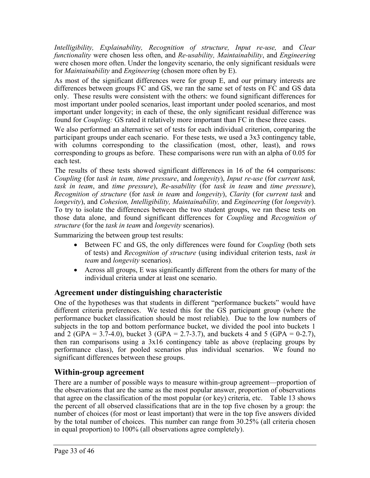*Intelligibility, Explainability, Recognition of structure, Input re-use,* and *Clear functionality* were chosen less often, and *Re-usability, Maintainability*, and *Engineering*  were chosen more often. Under the longevity scenario, the only significant residuals were for *Maintainability* and *Engineering* (chosen more often by E).

As most of the significant differences were for group  $E$ , and our primary interests are differences between groups FC and GS, we ran the same set of tests on FC and GS data only. These results were consistent with the others: we found significant differences for most important under pooled scenarios, least important under pooled scenarios, and most important under longevity; in each of these, the only significant residual difference was found for *Coupling:* GS rated it relatively more important than FC in these three cases.

participant groups under each scenario. For these tests, we used a 3x3 contingency table, with columns corresponding to the classification (most, other, least), and rows corresponding to groups as before. These comparisons were run with an alpha of 0.05 for We also performed an alternative set of tests for each individual criterion, comparing the each test.

*ngevity*), *Input re-use* (for *current task, Coupling* (for *task in team, time pressure*, and *lo* The results of these tests showed significant differences in 16 of the 64 comparisons: *task in team*, and *time pressure*), *Re-usability* (for *task in team* and *time pressure*), *Recognition of structure* (for *task in team* and *longevity*), *Clarity* (for *current task* and *longevity*), and *Cohesion, Intelligibility, Maintainability,* and *Engineering* (for *longevity*). To try to isolate the differences between the two student groups, we ran these tests on those data alone, and found significant differences for *Coupling* and *Recognition of structure* (for the *task in team* and *longevity* scenarios).

Summarizing the between group test results:

- of tests) and *Recognition of structure* (using individual criterion tests, *task in team* and *longevity* scenarios). • Between FC and GS, the only differences were found for *Coupling* (both sets
- Across all groups, E was significantly different from the others for many of the individual criteria under at least one scenario.

#### **Agreement under distinguishing characteristic**

One of the hypotheses was that students in different "performance buckets" would have different criteria preferences. We tested this for the GS participant group (where the performance bucket classification should be most reliable). Due to the low numbers of s ubjects in the top and bottom performance bucket, we divided the pool into buckets 1 and 2 (GPA = 3.7-4.0), bucket 3 (GPA = 2.7-3.7), and buckets 4 and 5 (GPA = 0-2.7), then ran comparisons using a 3x16 contingency table as above (replacing groups by performance class), for pooled scenarios plus individual scenarios. We found no significant differences between these groups.

#### **Within-group agreement**

There are a number of possible ways to measure within-group agreement—proportion of the observations that are the same as the most popular answer, proportion of observations that agree on the classification of the most popular (or key) criteria, etc. Table 13 shows the percent of all observed classifications that are in the top five chosen by a group: the number of choices (for most or least important) that were in the top five answers divided by the total number of choices. This number can range from 30.25% (all criteria chosen in equal proportion) to 100% (all observations agree completely).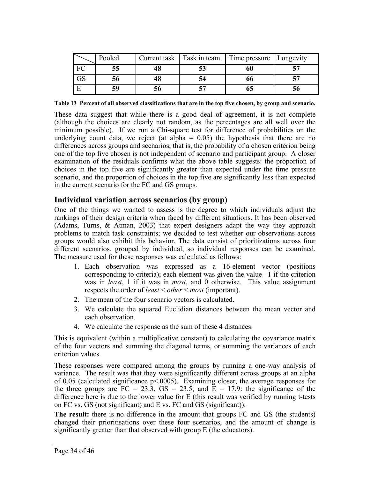|    | Pooled |    | Current task   Task in team | Time pressure   Longevity |  |
|----|--------|----|-----------------------------|---------------------------|--|
|    |        | 10 |                             | bU                        |  |
| JĐ | 20     | 48 |                             | 00                        |  |
|    |        |    |                             |                           |  |

**Table 13 Percent of all observed classifications that are in the top five chosen, by group and scenario.** 

These data suggest that while there is a good deal of agreement, it is not complete (although the choices are clearly not random, as the percentages are all well over the examination of the residuals confirms what the above table suggests: the proportion of minimum possible). If we run a Chi-square test for difference of probabilities on the underlying count data, we reject (at alpha  $= 0.05$ ) the hypothesis that there are no differences across groups and scenarios, that is, the probability of a chosen criterion being one of the top five chosen is not independent of scenario and participant group. A closer choices in the top five are significantly greater than expected under the time pressure scenario, and the proportion of choices in the top five are significantly less than expected in the current scenario for the FC and GS groups.

#### **Individual variation across scenarios (by group)**

(Adams, Turns,  $\&$  Atman, 2003) that expert designers adapt the way they approach groups would also exhibit this behavior. The data consist of prioritizations across four different scenarios, grouped by individual, so individual responses can be examined. The measure used for these responses was calculated as follows: One of the things we wanted to assess is the degree to which individuals adjust the rankings of their design criteria when faced by different situations. It has been observed problems to match task constraints; we decided to test whether our observations across

- was in *least*, 1 if it was in *most*, and 0 otherwise. This value assignment respects the order of *least* < *other* < *most* (important). 1. Each observation was expressed as a 16-element vector (positions corresponding to criteria); each element was given the value  $-1$  if the criterion
- 2. The mean of the four scenario vectors is calculated.
- 3. We calculate the squared Euclidian distances between the mean vector and each observation.
- 4. We calculate the response as the sum of these 4 distances.

This is equivalent (within a multiplicative constant) to calculating the covariance matrix of the four vectors and summing the diagonal terms, or summing the variances of each criterion values.

These responses were compared among the groups by running a one-way analysis of variance. The result was that they were significantly different across groups at an alpha of 0.05 (calculated significance p<.0005). Examining closer, the average responses for the three groups are  $FC = 23.3$ ,  $GS = 23.5$ , and  $E = 17.9$ : the significance of the difference here is due to the lower value for E (this result was verified by running t-tests on FC vs. GS (not significant) and E vs. FC and GS (significant)).

significantly greater than that observed with group E (the educators). **The result:** there is no difference in the amount that groups FC and GS (the students) changed their prioritisations over these four scenarios, and the amount of change is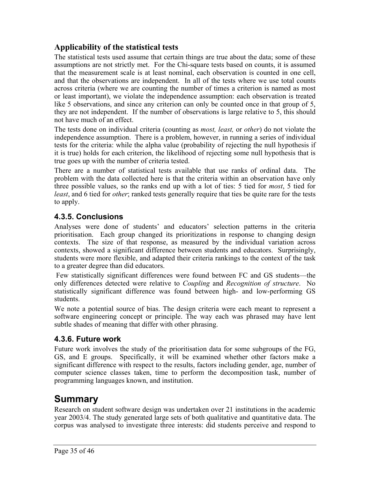#### **Applicability of the statistical tests**

The statistical tests used assume that certain things are true about the data; some of these assumptions are not strictly met. For the Chi-square tests based on counts, it is assumed that the measurement scale is at least nominal, each observation is counted in one cell, and that the observations are independent. In all of the tests where we use total counts across criteria (where we are counting the number of times a criterion is named as most or least important), we violate the independence assumption: each observation is treated like 5 observations, and since any criterion can only be counted once in that group of 5, they are not independent. If the number of observations is large relative to 5, this should not have much of an effect.

The tests done on individual criteria (counting as *most, least,* or *other*) do not violate the independence assumption. There is a problem, however, in running a series of individual tests for the criteria: while the alpha value (probability of rejecting the null hypothesis if it is true) holds for each criterion, the likelihood of rejecting some null hypothesis that is true goes up with the number of criteria tested.

three possible values, so the ranks end up with a lot of ties: 5 tied for *most*, 5 tied for *least*, and 6 tied for *other*; ranked tests generally require that ties be quite rare for the tests There are a number of statistical tests available that use ranks of ordinal data. The problem with the data collected here is that the criteria within an observation have only to apply.

#### **4.3.5. Conclusions**

students were more flexible, and adapted their criteria rankings to the context of the task to a gr eater degree than did educators. Analyses were done of students' and educators' selection patterns in the criteria prioritisation. Each group changed its prioritizations in response to changing design contexts. The size of that response, as measured by the individual variation across contexts, showed a significant difference between students and educators. Surprisingly,

Few statistically significant differences were found between FC and GS students—the only diffe rences detected were relative to *Coupling* and *Recognition of structure*. No statistically significant difference was found between high- and low-performing GS students.

We note a potential source of bias. The design criteria were each meant to represent a software engineering concept or principle. The way each was phrased may have lent subtle shades of meaning that differ with other phrasing.

#### **4.3.6. Future work**

GS, and E groups. Specifically, it will be examined whether other factors make a Future work involves the study of the prioritisation data for some subgroups of the FG, significant difference with respect to the results, factors including gender, age, number of computer science classes taken, time to perform the decomposition task, number of programming languages known, and institution.

# **Summary**

Research on student software design was undertaken over 21 institutions in the academic year 2003/4. The study generated large sets of both qualitative and quantitative data. The corpus was analysed to investigate three interests: did students perceive and respond to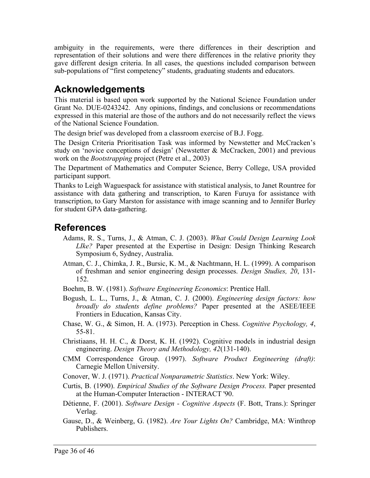ambiguity in the requirements, were there differences in their description and representation of their solutions and were there differences in the relative priority they gave different design criteria. In all cases, the questions included comparison between sub-populations of "first competency" students, graduating students and educators.

# **Acknowledgements**

of the National Science Foundation. This material is based upon work supported by the National Science Foundation under Grant No. DUE-0243242. Any opinions, findings, and conclusions or recommendations expressed in this material are those of the authors and do not necessarily reflect the views

The design brief was developed from a classroom exercise of B.J. Fogg.

work on the *Bootstrapping* project (Petre et al., 2003) The Design Criteria Prioritisation Task was informed by Newstetter and McCracken's study on 'novice conceptions of design' (Newstetter  $&$  McCracken, 2001) and previous

The Department of Mathematics and Computer Science, Berry College, USA provided participant support.

transcription, to Gary Marston for assistance with image scanning and to Jennifer Burley for student GPA data-gathering. Thanks to Leigh Waguespack for assistance with statistical analysis, to Janet Rountree for assistance with data gathering and transcription, to Karen Furuya for assistance with

# **References**

- Adams, R. S., Turns, J., & Atman, C. J. (2003). *What Could Design Learning Look LIke?* Paper presented at the Expertise in Design: Design Thinking Research Symposium 6, Sydney, Australia.
- Atman, C. J., Chimka, J. R., Bursic, K. M., & Nachtmann, H. L. (1999). A comparison of freshman and senior engineering design processes. *Design Studies, 20*, 131- 152.
- Boehm, B. W. (1981). *Software Engineering Economics*: Prentice Hall.
- , L. L., Turns, J., & Atman, C. J. (2000). *Engineering design factors: how*  Bogush *broadly do students define problems?* Paper presented at the ASEE/IEEE Frontiers in Education, Kansas City.
- Chase, W. G., & Simon, H. A. (1973). Perception in Chess. Cognitive Psychology, 4, 55-81.
- Christiaans, H. H. C., & Dorst, K. H. (1992). Cognitive models in industrial design engineering. *Design Theory and Methodology, 42*(131-140).
- CMM Correspondence Group. (1997). *Software Product Engineering (draft)*: Carnegie Mellon University.
- Conover, W. J. (1971). *Practical Nonparametric Statistics*. New York: Wiley.
- Curtis, B. (1990). *Empirical Studies of the Software Design Process.* Paper presented at the Human-Computer Interaction - INTERACT '90.
- Détienne, F. (2001). Software Design Cognitive Aspects (F. Bott, Trans.): Springer Verlag.
- Gause, D., & Weinberg, G. (1982). *Are Your Lights On?* Cambridge, MA: Winthrop Publishers.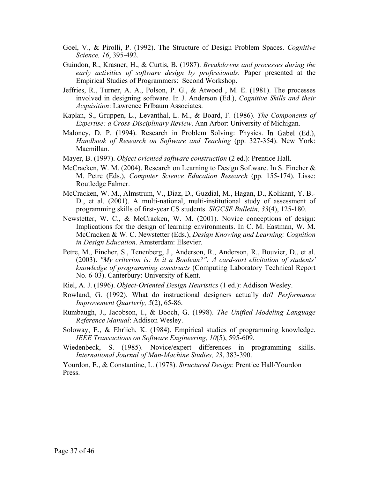- Goel, V., & Pirolli, P. (1992). The Structure of Design Problem Spaces. *Cognitive Science, 16*, 395-492.
- Guindon, R., Krasner, H., & Curtis, B. (1987). *Breakdowns and processes during the early activities of software design by professionals.* Paper presented at the Empirical Studies of Programmers: Second Workshop.
- Jeffries, R., Turner, A. A., Polson, P. G., & Atwood, M. E. (1981). The processes involved in designing software. In J. Anderson (Ed.), *Cognitive Skills and their Acquisition*: Lawrence Erlbaum Associates.
- *Expertise: a Cross-Disciplinary Review. Ann Arbor: University of Michigan.* Kaplan, S., Gruppen, L., Levanthal, L. M., & Board, F. (1986). *The Components of*
- Maloney, D. P. (1994). Research in Problem Solving: Physics. In Gabel (Ed.), *Handbook of Research on Software and Teaching* (pp. 327-354). New York: Macmillan.
- Mayer, B. (1997). *Object oriented software construction* (2 ed.): Prentice Hall.
- M. Petre (Eds.), *Computer Science Education Research* (pp. 155-174). Lisse: McCracken, W. M. (2004). Research on Learning to Design Software. In S. Fincher  $\&$ Routledge Falmer.
- programming skills of first-year CS students. *SIGCSE Bulletin*, 33(4), 125-180. McCracken, W. M., Almstrum, V., Diaz, D., Guzdial, M., Hagan, D., Kolikant, Y. B.- D., et al. (2001). A multi-national, multi-institutional study of assessment of
- Newstetter, W. C., & McCracken, W. M. (2001). Novice conceptions of design: Implications for the design of learning environments. In C. M. Eastman, W. M. McCracken & W. C. Newstetter (Eds.), *Design Knowing and Learning: Cognition in Design Education*. Amsterdam: Elsevier.
- Petre, M., Fincher, S., Tenenberg, J., Anderson, R., Anderson, R., Bouvier, D., et al. (2003). *"My criterion is: Is it a Boolean?": A card-sort elicitation of students' knowledge of programming constructs* (Computing Laboratory Technical Report No. 6-03). Canterbury: University of Kent.
- Riel, A. J. (1996). *Object-Oriented Design Heuristics* (1 ed.): Addison Wesley.
- Rowland, G. (1992). What do instructional designers actually do? *Performance Improvement Quarterly, 5*(2), 65-86.
- Rumbaugh, J., Jacobson, I., & Booch, G. (1998). *The Unified Modeling Language Reference Manual*: Addison Wesley.
- Soloway, E., & Ehrlich, K. (1984). Empirical studies of programming knowledge. *IEEE Transactions on Software Engineering, 10*(5), 595-609.
- Wiedenbeck, S. (1985). Novice/expert differences in programming skills. *International Journal of Man-Machine Studies, 23*, 383-390.

Yourdon, E., & Constantine, L. (1978). *Structured Design*: Prentice Hall/Yourdon Press.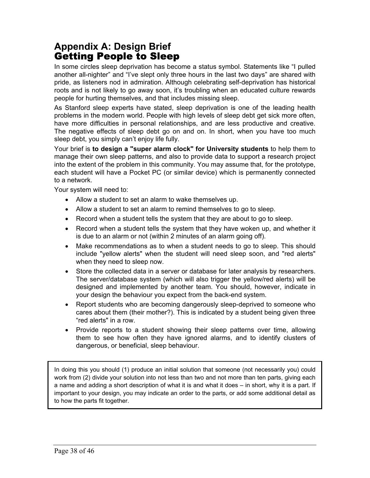# **A ppendix A: Design Brief**

In some circles sleep deprivation has become a status symbol. Statements like "I pulled another all-nighter" and "I've slept only three hours in the last two days" are shared with pride, as listeners nod in admiration. Although celebrating self-deprivation has historical roots and is not likely to go away soon, it's troubling when an educated culture rewards people for hurting themselves, and that includes missing sleep.

As Stanford sleep experts have stated, sleep deprivation is one of the leading health pro blems in the modern world. People with high levels of sleep debt get sick more often, have more difficulties in personal relationships, and are less productive and creative. Th e negative effects of sleep debt go on and on. In short, when you have too much sleep d ebt, you simply canít enjoy life fully.

Your brief is **to design a "super alarm clock" for University students** to help them to manage their own sleep patterns, and also to provide data to support a research project int o the extent of the problem in this community. You may assume that, for the prototype, ea ch student will have a Pocket PC (or similar device) which is permanently connected to a ne twork.

Yo ur system will need to:

- Allow a student to set an alarm to wake themselves up.
- Allow a student to set an alarm to remind themselves to go to sleep.
- Record when a student tells the system that they are about to go to sleep.
- Record when a student tells the system that they have woken up, and whether it is due to an alarm or not (within 2 minutes of an alarm going off).
- Make recommendations as to when a student needs to go to sleep. This should include "yellow alerts" when the student will need sleep soon, and "red alerts" when they need to sleep now.
- Store the collected data in a server or database for later analysis by researchers. The server/database system (which will also trigger the yellow/red alerts) will be designed and implemented by another team. You should, however, indicate in your design the behaviour you expect from the back-end system.
- Report students who are becoming dangerously sleep-deprived to someone who cares about them (their mother?). This is indicated by a student being given three "red alerts" in a row.
- them to see how often they have ignored alarms, and to identify clusters of • Provide reports to a student showing their sleep patterns over time, allowing dangerous, or beneficial, sleep behaviour.

In doing this you should (1) produce an initial solution that someone (not necessarily you) could work from (2) divide your solution into not less than two and not more than ten parts, giving each a name and adding a short description of what it is and what it does – in short, why it is a part. If important to your design, you may indicate an order to the parts, or add some additional detail as to how the parts fit together.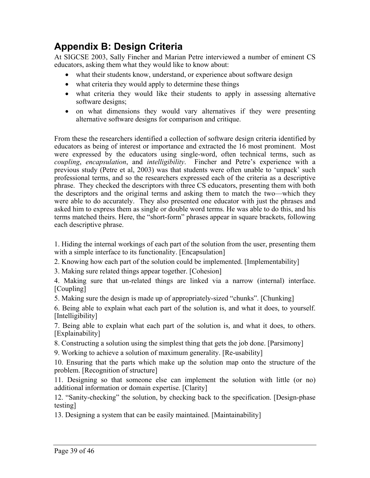# **Appendix B: Design Criteria**

At SIGCSE 2003, Sally Fincher and Marian Petre interviewed a number of eminent CS educators, asking them what they would like to know about:

- what their students know, understand, or experience about software design
- what criteria they would apply to determine these things
- what criteria they would like their students to apply in assessing alternative software designs;
- on what dimensions they would vary alternatives if they were presenting alternative software designs for comparison and critique.

From these the researchers identified a collection of software design criteria identified by professional terms, and so the researchers expressed each of the criteria as a descriptive phrase. They checked the descriptors with three CS educators, presenting them with both the descriptors and the original terms and asking them to match the two—which they were able to do accurately. They also presented one educator with just the phrases and asked him to express them as single or double word terms. He was able to do this, and his terms matched theirs. Here, the "short-form" phrases appear in square brackets, following each descriptive phrase. educators as being of interest or importance and extracted the 16 most prominent. Most were expressed by the educators using single-word, often technical terms, such as *coupling*, *encapsulation*, and *intelligibility*. Fincher and Petre's experience with a previous study (Petre et al, 2003) was that students were often unable to 'unpack' such

1. Hiding the internal workings of each part of the solution from the user, presenting them with a simple interface to its functionality. [Encapsulation]

2. Knowing how each part of the solution could be implemented. [Implementability]

3. Making sure related things appear together. [Cohesion]

4. Mak ing sure that un-related things are linked via a narrow (internal) interface. [Coupl ing]

5. Making sure the design is made up of appropriately-sized "chunks". [Chunking]

6. Being able to explain what each part of the solution is, and what it does, to yourself. [Intelligibility]

7. Being able to explain what each part of the solution is, and what it does, to others. [Explainability]

8. Constructing a solution using the simplest thing that gets the job done. [Parsimony]

. Working to achieve a solution of maximum generality. [Re-usability] 9

10. Ensuring that the parts which make up the solution map onto the structure of the problem. [Recognition of structure]

11. Designing so that someone else can implement the solution with little (or no) additional information or domain expertise. [Clarity]

12. "Sanity-checking" the solution, by checking back to the specification. [Design-phase testing]

13. Designing a system that can be easily maintained. [Maintainability]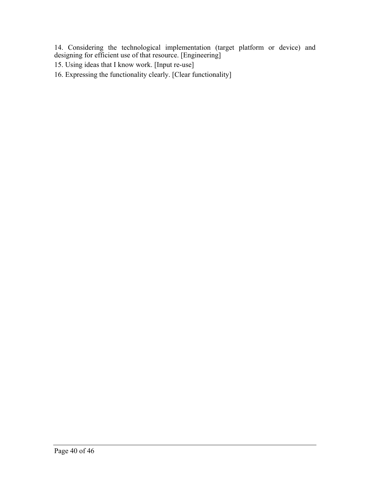14. Considering the technological implementation (target platform or device) and designing for efficient use of that resource. [Engineering]

- 15. Using ideas that I know work. [Input re-use]
- 16. Expressing the functionality clearly. [Clear functionality]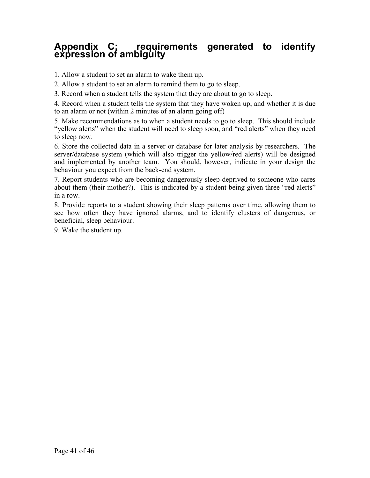## **Appendix C: requirements generated to identify expression of ambiguity**

1. Allow a student to set an alarm to wake them up.

2. Allow a student to set an alarm to remind them to go to sleep.

3. Record when a student tells the system that they are about to go to sleep.

4. Record when a student tells the system that they have woken up, and whether it is due to an alarm or not (within 2 minutes of an alarm going off)

5. Make recommendations as to when a student needs to go to sleep. This should include "yellow alerts" when the student will need to sleep soon, and "red alerts" when they need to sleep now.

6. Store the collected data in a server or database for later analysis by researchers. The server/database system (which will also trigger the yellow/red alerts) will be designed and implemented by another team. You should, however, indicate in your design the behaviour you expect from the back-end system.

7. Report students who are becoming dangerously sleep-deprived to someone who cares about them (their mother?). This is indicated by a student being given three "red alerts" in a row.

8. Provide reports to a student showing their sleep patterns over time, allowing them to see how often they have ignored alarms, and to identify clusters of dangerous, or beneficial, sleep behaviour.

9. Wake the student up.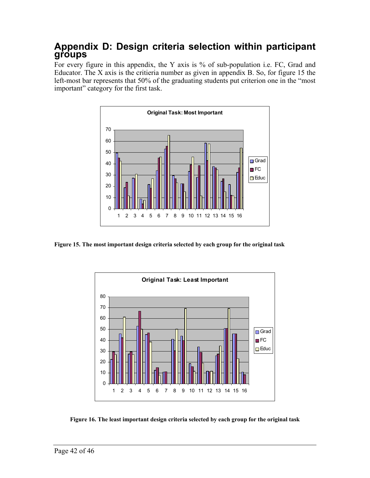## **Appendix D: Design criteria selection within participant groups**

For every figure in this appendix, the Y axis is % of sub-population i.e. FC, Grad and Educator. The X axis is the critieria number as given in appendix  $B$ . So, for figure 15 the left-most bar represents that 50% of the graduating students put criterion one in the "most important" category for the first task.



**Figure 15. The most important design criteria selected by each group for the original task** 



**Figure 16. The least important design criteria selected by each group for the original task**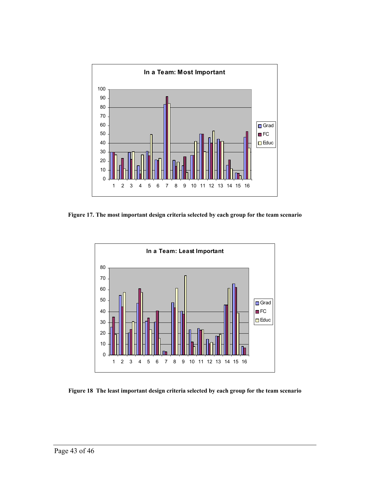

**Figure 17. The most important design criteria selected by each group for the team scenario** 



**Figure 18 The least important design criteria selected by each group for the team scenario**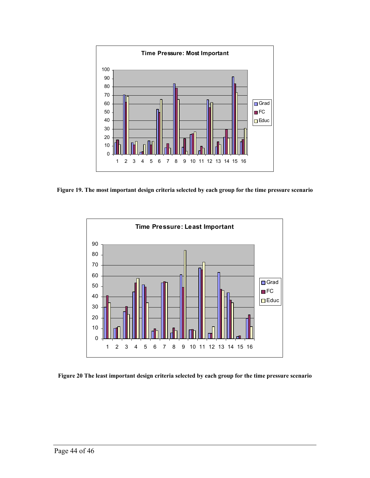

**Figure 19. The most important design criteria selected by each group for the time pressure scenario** 



**Figure 20 The least important design criteria selected by each group for the time pressure scenario**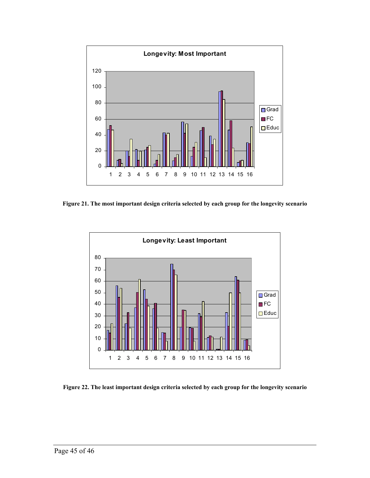

**Figure 21. The most important design criteria selected by each group for the longevity scenario** 



**Figure 22. The least important design criteria selected by each group for the longevity scenario**